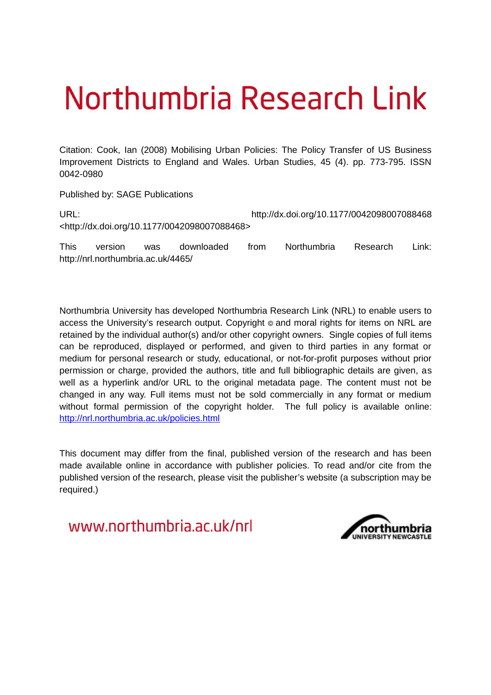# Northumbria Research Link

Citation: Cook, Ian (2008) Mobilising Urban Policies: The Policy Transfer of US Business Improvement Districts to England and Wales. Urban Studies, 45 (4). pp. 773-795. ISSN 0042-0980

Published by: SAGE Publications

| URL:                                                         | http://dx.doi.org/10.1177/0042098007088468 |
|--------------------------------------------------------------|--------------------------------------------|
| <http: 0042098007088468="" 10.1177="" dx.doi.org=""></http:> |                                            |

This version was downloaded from Northumbria Research Link: http://nrl.northumbria.ac.uk/4465/

Northumbria University has developed Northumbria Research Link (NRL) to enable users to access the University's research output. Copyright  $\circ$  and moral rights for items on NRL are retained by the individual author(s) and/or other copyright owners. Single copies of full items can be reproduced, displayed or performed, and given to third parties in any format or medium for personal research or study, educational, or not-for-profit purposes without prior permission or charge, provided the authors, title and full bibliographic details are given, as well as a hyperlink and/or URL to the original metadata page. The content must not be changed in any way. Full items must not be sold commercially in any format or medium without formal permission of the copyright holder. The full policy is available online: <http://nrl.northumbria.ac.uk/policies.html>

This document may differ from the final, published version of the research and has been made available online in accordance with publisher policies. To read and/or cite from the published version of the research, please visit the publisher's website (a subscription may be required.)

www.northumbria.ac.uk/nrl

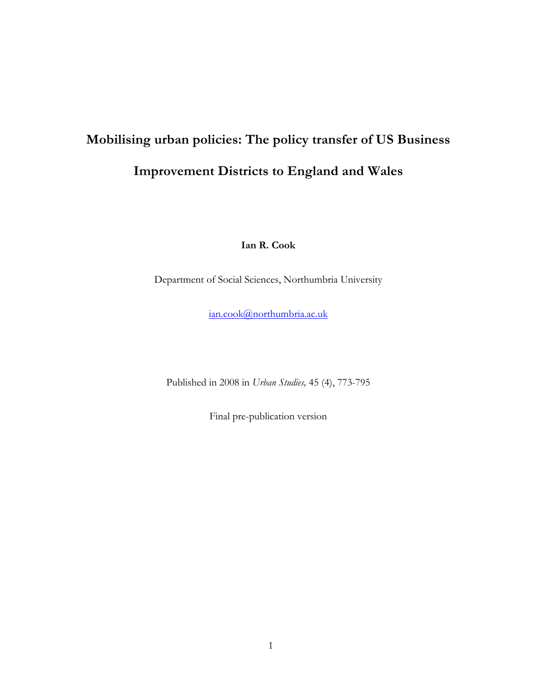## **Mobilising urban policies: The policy transfer of US Business Improvement Districts to England and Wales**

**Ian R. Cook**

Department of Social Sciences, Northumbria University

ian.cook@northumbria.ac.uk

Published in 2008 in *Urban Studies,* 45 (4), 773-795

Final pre-publication version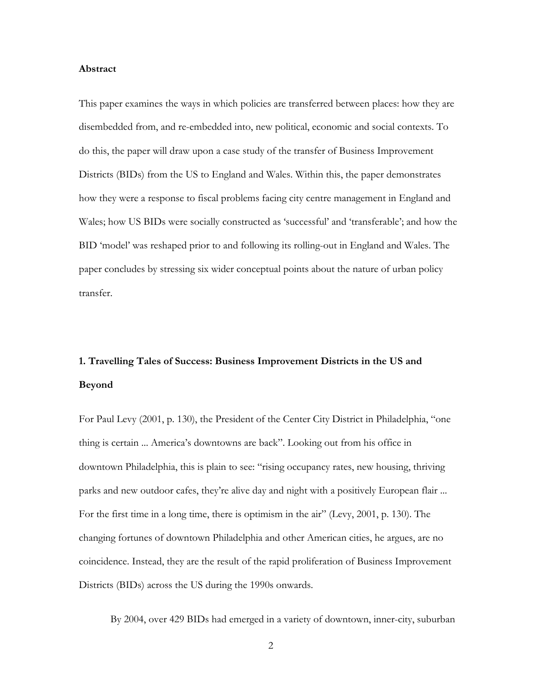### **Abstract**

This paper examines the ways in which policies are transferred between places: how they are disembedded from, and re-embedded into, new political, economic and social contexts. To do this, the paper will draw upon a case study of the transfer of Business Improvement Districts (BIDs) from the US to England and Wales. Within this, the paper demonstrates how they were a response to fiscal problems facing city centre management in England and Wales; how US BIDs were socially constructed as 'successful' and 'transferable'; and how the BID 'model' was reshaped prior to and following its rolling-out in England and Wales. The paper concludes by stressing six wider conceptual points about the nature of urban policy transfer.

### **1. Travelling Tales of Success: Business Improvement Districts in the US and Beyond**

For Paul Levy (2001, p. 130), the President of the Center City District in Philadelphia, "one thing is certain ... America's downtowns are back". Looking out from his office in downtown Philadelphia, this is plain to see: "rising occupancy rates, new housing, thriving parks and new outdoor cafes, they're alive day and night with a positively European flair ... For the first time in a long time, there is optimism in the air" (Levy, 2001, p. 130). The changing fortunes of downtown Philadelphia and other American cities, he argues, are no coincidence. Instead, they are the result of the rapid proliferation of Business Improvement Districts (BIDs) across the US during the 1990s onwards.

By 2004, over 429 BIDs had emerged in a variety of downtown, inner-city, suburban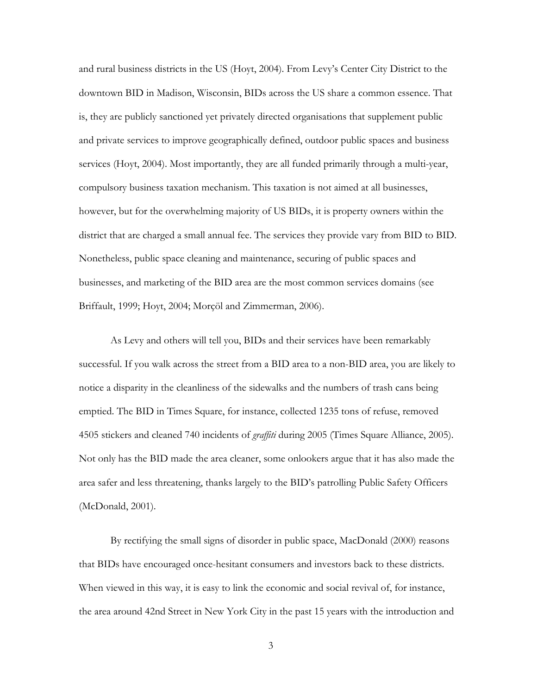and rural business districts in the US (Hoyt, 2004). From Levy's Center City District to the downtown BID in Madison, Wisconsin, BIDs across the US share a common essence. That is, they are publicly sanctioned yet privately directed organisations that supplement public and private services to improve geographically defined, outdoor public spaces and business services (Hoyt, 2004). Most importantly, they are all funded primarily through a multi-year, compulsory business taxation mechanism. This taxation is not aimed at all businesses, however, but for the overwhelming majority of US BIDs, it is property owners within the district that are charged a small annual fee. The services they provide vary from BID to BID. Nonetheless, public space cleaning and maintenance, securing of public spaces and businesses, and marketing of the BID area are the most common services domains (see Briffault, 1999; Hoyt, 2004; Morçöl and Zimmerman, 2006).

As Levy and others will tell you, BIDs and their services have been remarkably successful. If you walk across the street from a BID area to a non-BID area, you are likely to notice a disparity in the cleanliness of the sidewalks and the numbers of trash cans being emptied. The BID in Times Square, for instance, collected 1235 tons of refuse, removed 4505 stickers and cleaned 740 incidents of *graffiti* during 2005 (Times Square Alliance, 2005). Not only has the BID made the area cleaner, some onlookers argue that it has also made the area safer and less threatening, thanks largely to the BID's patrolling Public Safety Officers (McDonald, 2001).

By rectifying the small signs of disorder in public space, MacDonald (2000) reasons that BIDs have encouraged once-hesitant consumers and investors back to these districts. When viewed in this way, it is easy to link the economic and social revival of, for instance, the area around 42nd Street in New York City in the past 15 years with the introduction and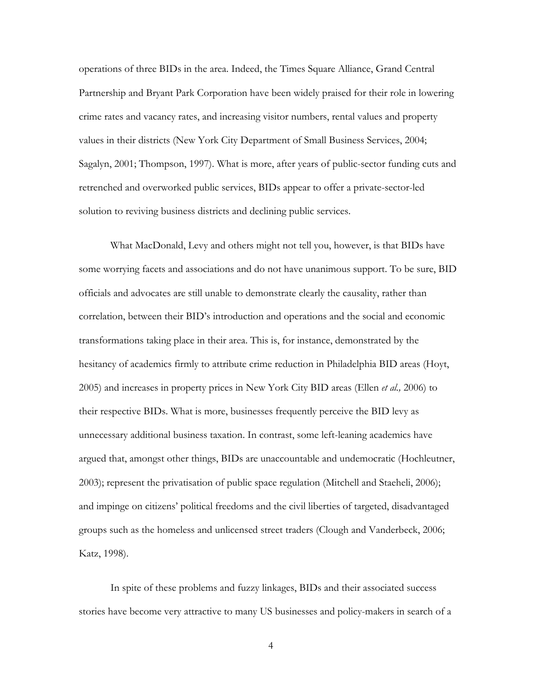operations of three BIDs in the area. Indeed, the Times Square Alliance, Grand Central Partnership and Bryant Park Corporation have been widely praised for their role in lowering crime rates and vacancy rates, and increasing visitor numbers, rental values and property values in their districts (New York City Department of Small Business Services, 2004; Sagalyn, 2001; Thompson, 1997). What is more, after years of public-sector funding cuts and retrenched and overworked public services, BIDs appear to offer a private-sector-led solution to reviving business districts and declining public services.

What MacDonald, Levy and others might not tell you, however, is that BIDs have some worrying facets and associations and do not have unanimous support. To be sure, BID officials and advocates are still unable to demonstrate clearly the causality, rather than correlation, between their BID's introduction and operations and the social and economic transformations taking place in their area. This is, for instance, demonstrated by the hesitancy of academics firmly to attribute crime reduction in Philadelphia BID areas (Hoyt, 2005) and increases in property prices in New York City BID areas (Ellen *et al.,* 2006) to their respective BIDs. What is more, businesses frequently perceive the BID levy as unnecessary additional business taxation. In contrast, some left-leaning academics have argued that, amongst other things, BIDs are unaccountable and undemocratic (Hochleutner, 2003); represent the privatisation of public space regulation (Mitchell and Staeheli, 2006); and impinge on citizens' political freedoms and the civil liberties of targeted, disadvantaged groups such as the homeless and unlicensed street traders (Clough and Vanderbeck, 2006; Katz, 1998).

In spite of these problems and fuzzy linkages, BIDs and their associated success stories have become very attractive to many US businesses and policy-makers in search of a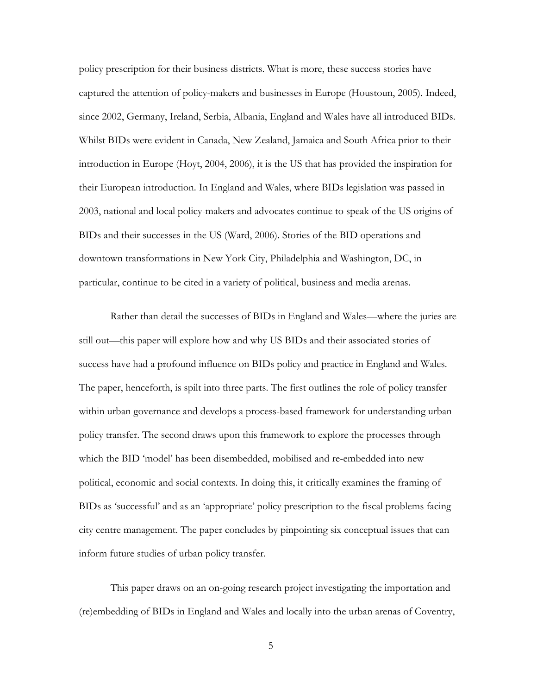policy prescription for their business districts. What is more, these success stories have captured the attention of policy-makers and businesses in Europe (Houstoun, 2005). Indeed, since 2002, Germany, Ireland, Serbia, Albania, England and Wales have all introduced BIDs. Whilst BIDs were evident in Canada, New Zealand, Jamaica and South Africa prior to their introduction in Europe (Hoyt, 2004, 2006), it is the US that has provided the inspiration for their European introduction. In England and Wales, where BIDs legislation was passed in 2003, national and local policy-makers and advocates continue to speak of the US origins of BIDs and their successes in the US (Ward, 2006). Stories of the BID operations and downtown transformations in New York City, Philadelphia and Washington, DC, in particular, continue to be cited in a variety of political, business and media arenas.

Rather than detail the successes of BIDs in England and Wales—where the juries are still out—this paper will explore how and why US BIDs and their associated stories of success have had a profound influence on BIDs policy and practice in England and Wales. The paper, henceforth, is spilt into three parts. The first outlines the role of policy transfer within urban governance and develops a process-based framework for understanding urban policy transfer. The second draws upon this framework to explore the processes through which the BID 'model' has been disembedded, mobilised and re-embedded into new political, economic and social contexts. In doing this, it critically examines the framing of BIDs as 'successful' and as an 'appropriate' policy prescription to the fiscal problems facing city centre management. The paper concludes by pinpointing six conceptual issues that can inform future studies of urban policy transfer.

This paper draws on an on-going research project investigating the importation and (re)embedding of BIDs in England and Wales and locally into the urban arenas of Coventry,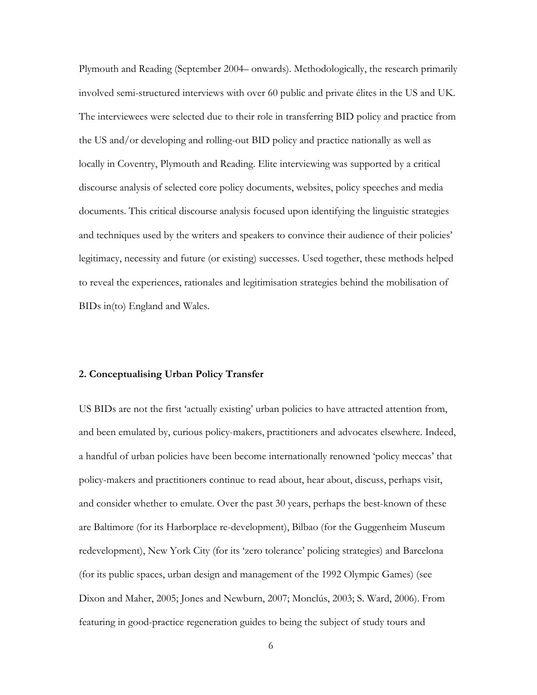Plymouth and Reading (September 2004– onwards). Methodologically, the research primarily involved semi-structured interviews with over 60 public and private élites in the US and UK. The interviewees were selected due to their role in transferring BID policy and practice from the US and/or developing and rolling-out BID policy and practice nationally as well as locally in Coventry, Plymouth and Reading. Elite interviewing was supported by a critical discourse analysis of selected core policy documents, websites, policy speeches and media documents. This critical discourse analysis focused upon identifying the linguistic strategies and techniques used by the writers and speakers to convince their audience of their policies' legitimacy, necessity and future (or existing) successes. Used together, these methods helped to reveal the experiences, rationales and legitimisation strategies behind the mobilisation of BIDs in(to) England and Wales.

### **2. Conceptualising Urban Policy Transfer**

US BIDs are not the first 'actually existing' urban policies to have attracted attention from, and been emulated by, curious policy-makers, practitioners and advocates elsewhere. Indeed, a handful of urban policies have been become internationally renowned 'policy meccas' that policy-makers and practitioners continue to read about, hear about, discuss, perhaps visit, and consider whether to emulate. Over the past 30 years, perhaps the best-known of these are Baltimore (for its Harborplace re-development), Bilbao (for the Guggenheim Museum redevelopment), New York City (for its 'zero tolerance' policing strategies) and Barcelona (for its public spaces, urban design and management of the 1992 Olympic Games) (see Dixon and Maher, 2005; Jones and Newburn, 2007; Monclús, 2003; S. Ward, 2006). From featuring in good-practice regeneration guides to being the subject of study tours and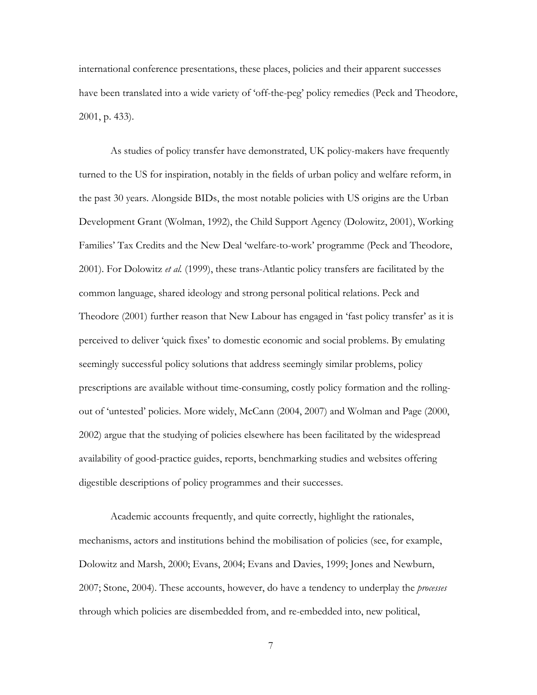international conference presentations, these places, policies and their apparent successes have been translated into a wide variety of 'off-the-peg' policy remedies (Peck and Theodore, 2001, p. 433).

As studies of policy transfer have demonstrated, UK policy-makers have frequently turned to the US for inspiration, notably in the fields of urban policy and welfare reform, in the past 30 years. Alongside BIDs, the most notable policies with US origins are the Urban Development Grant (Wolman, 1992), the Child Support Agency (Dolowitz, 2001), Working Families' Tax Credits and the New Deal 'welfare-to-work' programme (Peck and Theodore, 2001). For Dolowitz *et al.* (1999), these trans-Atlantic policy transfers are facilitated by the common language, shared ideology and strong personal political relations. Peck and Theodore (2001) further reason that New Labour has engaged in 'fast policy transfer' as it is perceived to deliver 'quick fixes' to domestic economic and social problems. By emulating seemingly successful policy solutions that address seemingly similar problems, policy prescriptions are available without time-consuming, costly policy formation and the rollingout of 'untested' policies. More widely, McCann (2004, 2007) and Wolman and Page (2000, 2002) argue that the studying of policies elsewhere has been facilitated by the widespread availability of good-practice guides, reports, benchmarking studies and websites offering digestible descriptions of policy programmes and their successes.

Academic accounts frequently, and quite correctly, highlight the rationales, mechanisms, actors and institutions behind the mobilisation of policies (see, for example, Dolowitz and Marsh, 2000; Evans, 2004; Evans and Davies, 1999; Jones and Newburn, 2007; Stone, 2004). These accounts, however, do have a tendency to underplay the *processes*  through which policies are disembedded from, and re-embedded into, new political,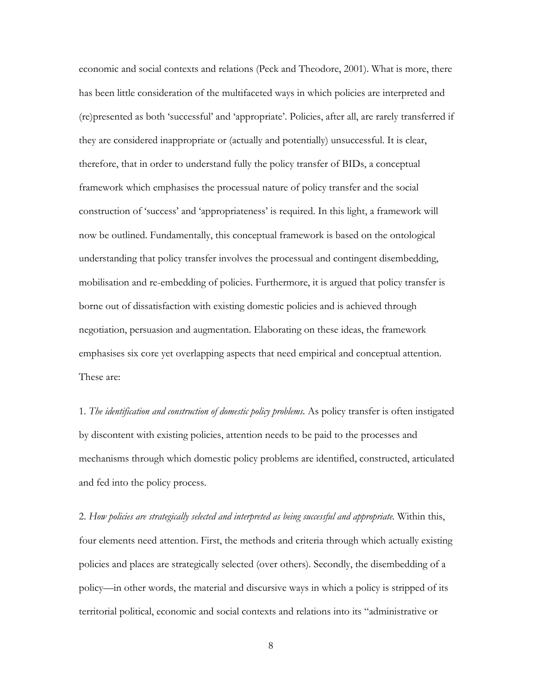economic and social contexts and relations (Peck and Theodore, 2001). What is more, there has been little consideration of the multifaceted ways in which policies are interpreted and (re)presented as both 'successful' and 'appropriate'. Policies, after all, are rarely transferred if they are considered inappropriate or (actually and potentially) unsuccessful. It is clear, therefore, that in order to understand fully the policy transfer of BIDs, a conceptual framework which emphasises the processual nature of policy transfer and the social construction of 'success' and 'appropriateness' is required. In this light, a framework will now be outlined. Fundamentally, this conceptual framework is based on the ontological understanding that policy transfer involves the processual and contingent disembedding, mobilisation and re-embedding of policies. Furthermore, it is argued that policy transfer is borne out of dissatisfaction with existing domestic policies and is achieved through negotiation, persuasion and augmentation. Elaborating on these ideas, the framework emphasises six core yet overlapping aspects that need empirical and conceptual attention. These are:

1. *The identification and construction of domestic policy problems.* As policy transfer is often instigated by discontent with existing policies, attention needs to be paid to the processes and mechanisms through which domestic policy problems are identified, constructed, articulated and fed into the policy process.

2. *How policies are strategically selected and interpreted as being successful and appropriate.* Within this, four elements need attention. First, the methods and criteria through which actually existing policies and places are strategically selected (over others). Secondly, the disembedding of a policy—in other words, the material and discursive ways in which a policy is stripped of its territorial political, economic and social contexts and relations into its "administrative or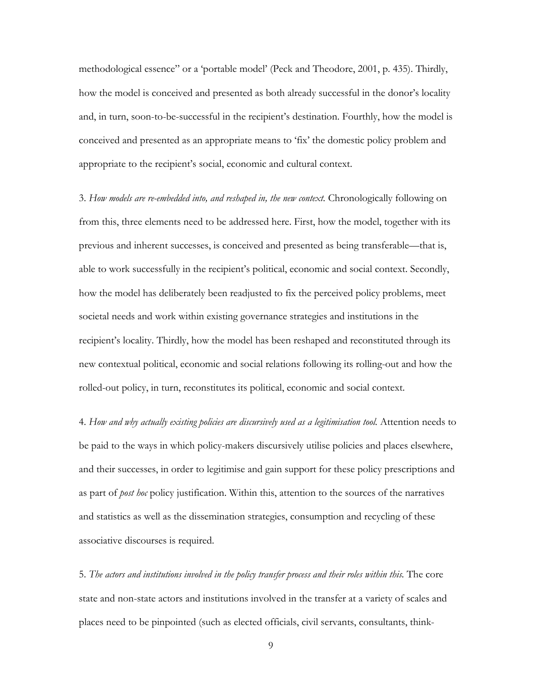methodological essence" or a 'portable model' (Peck and Theodore, 2001, p. 435). Thirdly, how the model is conceived and presented as both already successful in the donor's locality and, in turn, soon-to-be-successful in the recipient's destination. Fourthly, how the model is conceived and presented as an appropriate means to 'fix' the domestic policy problem and appropriate to the recipient's social, economic and cultural context.

3. *How models are re-embedded into, and reshaped in, the new context.* Chronologically following on from this, three elements need to be addressed here. First, how the model, together with its previous and inherent successes, is conceived and presented as being transferable—that is, able to work successfully in the recipient's political, economic and social context. Secondly, how the model has deliberately been readjusted to fix the perceived policy problems, meet societal needs and work within existing governance strategies and institutions in the recipient's locality. Thirdly, how the model has been reshaped and reconstituted through its new contextual political, economic and social relations following its rolling-out and how the rolled-out policy, in turn, reconstitutes its political, economic and social context.

4. *How and why actually existing policies are discursively used as a legitimisation tool.* Attention needs to be paid to the ways in which policy-makers discursively utilise policies and places elsewhere, and their successes, in order to legitimise and gain support for these policy prescriptions and as part of *post hoc* policy justification. Within this, attention to the sources of the narratives and statistics as well as the dissemination strategies, consumption and recycling of these associative discourses is required.

5. *The actors and institutions involved in the policy transfer process and their roles within this.* The core state and non-state actors and institutions involved in the transfer at a variety of scales and places need to be pinpointed (such as elected officials, civil servants, consultants, think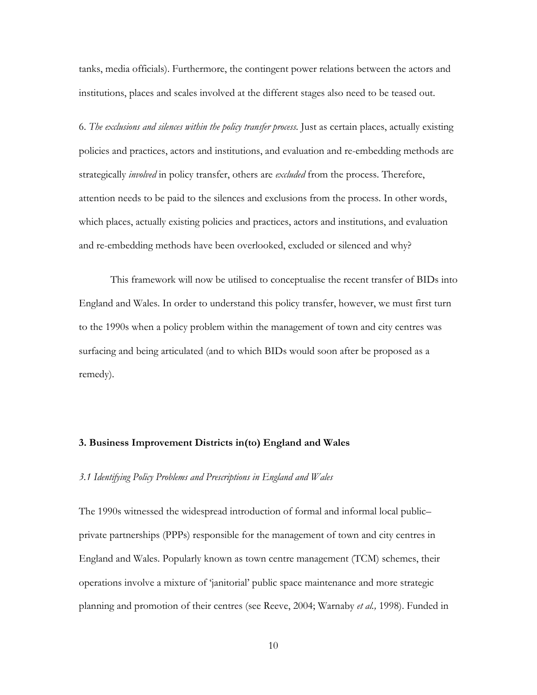tanks, media officials). Furthermore, the contingent power relations between the actors and institutions, places and scales involved at the different stages also need to be teased out.

6. *The exclusions and silences within the policy transfer process.* Just as certain places, actually existing policies and practices, actors and institutions, and evaluation and re-embedding methods are strategically *involved* in policy transfer, others are *excluded* from the process. Therefore, attention needs to be paid to the silences and exclusions from the process. In other words, which places, actually existing policies and practices, actors and institutions, and evaluation and re-embedding methods have been overlooked, excluded or silenced and why?

This framework will now be utilised to conceptualise the recent transfer of BIDs into England and Wales. In order to understand this policy transfer, however, we must first turn to the 1990s when a policy problem within the management of town and city centres was surfacing and being articulated (and to which BIDs would soon after be proposed as a remedy).

### **3. Business Improvement Districts in(to) England and Wales**

### *3.1 Identifying Policy Problems and Prescriptions in England and Wales*

The 1990s witnessed the widespread introduction of formal and informal local public– private partnerships (PPPs) responsible for the management of town and city centres in England and Wales. Popularly known as town centre management (TCM) schemes, their operations involve a mixture of 'janitorial' public space maintenance and more strategic planning and promotion of their centres (see Reeve, 2004; Warnaby *et al.,* 1998). Funded in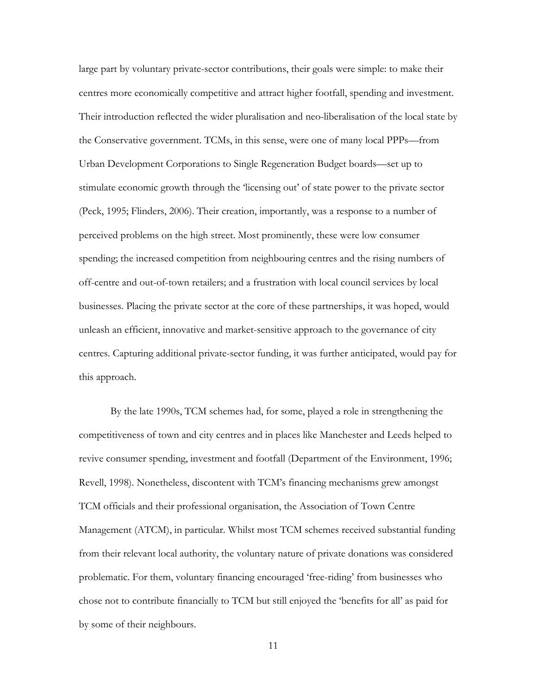large part by voluntary private-sector contributions, their goals were simple: to make their centres more economically competitive and attract higher footfall, spending and investment. Their introduction reflected the wider pluralisation and neo-liberalisation of the local state by the Conservative government. TCMs, in this sense, were one of many local PPPs—from Urban Development Corporations to Single Regeneration Budget boards—set up to stimulate economic growth through the 'licensing out' of state power to the private sector (Peck, 1995; Flinders, 2006). Their creation, importantly, was a response to a number of perceived problems on the high street. Most prominently, these were low consumer spending; the increased competition from neighbouring centres and the rising numbers of off-centre and out-of-town retailers; and a frustration with local council services by local businesses. Placing the private sector at the core of these partnerships, it was hoped, would unleash an efficient, innovative and market-sensitive approach to the governance of city centres. Capturing additional private-sector funding, it was further anticipated, would pay for this approach.

By the late 1990s, TCM schemes had, for some, played a role in strengthening the competitiveness of town and city centres and in places like Manchester and Leeds helped to revive consumer spending, investment and footfall (Department of the Environment, 1996; Revell, 1998). Nonetheless, discontent with TCM's financing mechanisms grew amongst TCM officials and their professional organisation, the Association of Town Centre Management (ATCM), in particular. Whilst most TCM schemes received substantial funding from their relevant local authority, the voluntary nature of private donations was considered problematic. For them, voluntary financing encouraged 'free-riding' from businesses who chose not to contribute financially to TCM but still enjoyed the 'benefits for all' as paid for by some of their neighbours.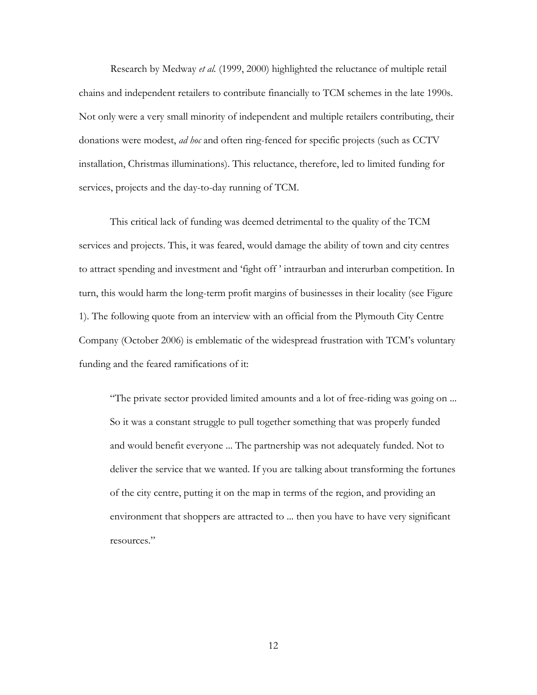Research by Medway *et al.* (1999, 2000) highlighted the reluctance of multiple retail chains and independent retailers to contribute financially to TCM schemes in the late 1990s. Not only were a very small minority of independent and multiple retailers contributing, their donations were modest, *ad hoc* and often ring-fenced for specific projects (such as CCTV installation, Christmas illuminations). This reluctance, therefore, led to limited funding for services, projects and the day-to-day running of TCM.

This critical lack of funding was deemed detrimental to the quality of the TCM services and projects. This, it was feared, would damage the ability of town and city centres to attract spending and investment and 'fight off ' intraurban and interurban competition. In turn, this would harm the long-term profit margins of businesses in their locality (see Figure 1). The following quote from an interview with an official from the Plymouth City Centre Company (October 2006) is emblematic of the widespread frustration with TCM's voluntary funding and the feared ramifications of it:

"The private sector provided limited amounts and a lot of free-riding was going on ... So it was a constant struggle to pull together something that was properly funded and would benefit everyone ... The partnership was not adequately funded. Not to deliver the service that we wanted. If you are talking about transforming the fortunes of the city centre, putting it on the map in terms of the region, and providing an environment that shoppers are attracted to ... then you have to have very significant resources."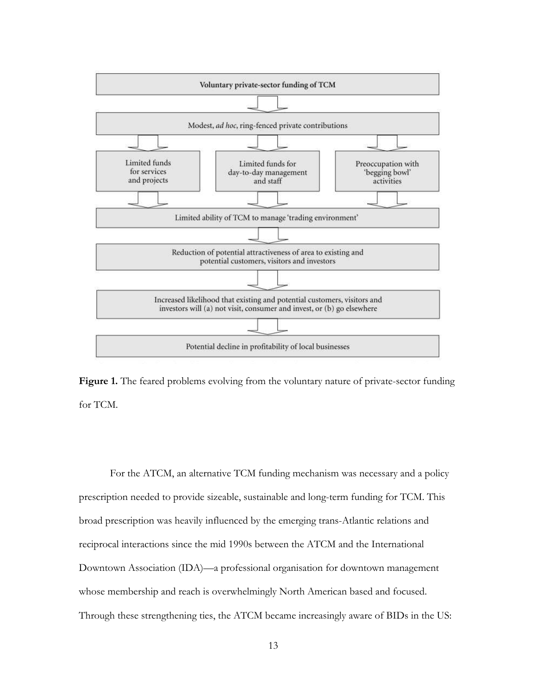

Figure 1. The feared problems evolving from the voluntary nature of private-sector funding for TCM.

For the ATCM, an alternative TCM funding mechanism was necessary and a policy prescription needed to provide sizeable, sustainable and long-term funding for TCM. This broad prescription was heavily influenced by the emerging trans-Atlantic relations and reciprocal interactions since the mid 1990s between the ATCM and the International Downtown Association (IDA)—a professional organisation for downtown management whose membership and reach is overwhelmingly North American based and focused. Through these strengthening ties, the ATCM became increasingly aware of BIDs in the US: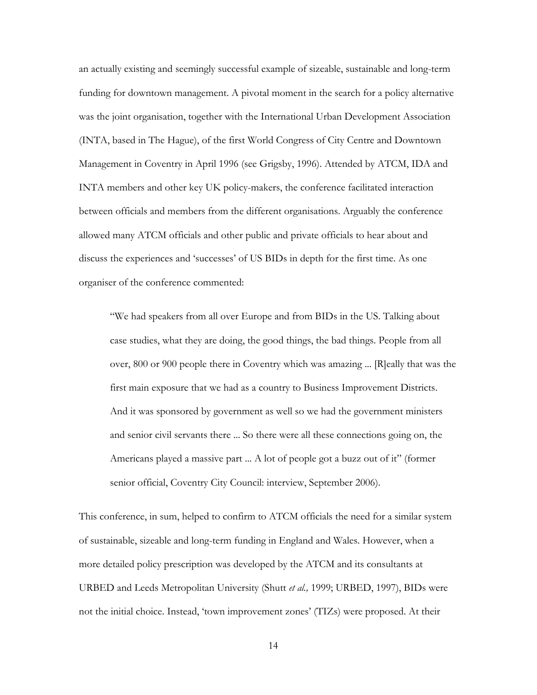an actually existing and seemingly successful example of sizeable, sustainable and long-term funding for downtown management. A pivotal moment in the search for a policy alternative was the joint organisation, together with the International Urban Development Association (INTA, based in The Hague), of the first World Congress of City Centre and Downtown Management in Coventry in April 1996 (see Grigsby, 1996). Attended by ATCM, IDA and INTA members and other key UK policy-makers, the conference facilitated interaction between officials and members from the different organisations. Arguably the conference allowed many ATCM officials and other public and private officials to hear about and discuss the experiences and 'successes' of US BIDs in depth for the first time. As one organiser of the conference commented:

"We had speakers from all over Europe and from BIDs in the US. Talking about case studies, what they are doing, the good things, the bad things. People from all over, 800 or 900 people there in Coventry which was amazing ... [R]eally that was the first main exposure that we had as a country to Business Improvement Districts. And it was sponsored by government as well so we had the government ministers and senior civil servants there ... So there were all these connections going on, the Americans played a massive part ... A lot of people got a buzz out of it" (former senior official, Coventry City Council: interview, September 2006).

This conference, in sum, helped to confirm to ATCM officials the need for a similar system of sustainable, sizeable and long-term funding in England and Wales. However, when a more detailed policy prescription was developed by the ATCM and its consultants at URBED and Leeds Metropolitan University (Shutt *et al.,* 1999; URBED, 1997), BIDs were not the initial choice. Instead, 'town improvement zones' (TIZs) were proposed. At their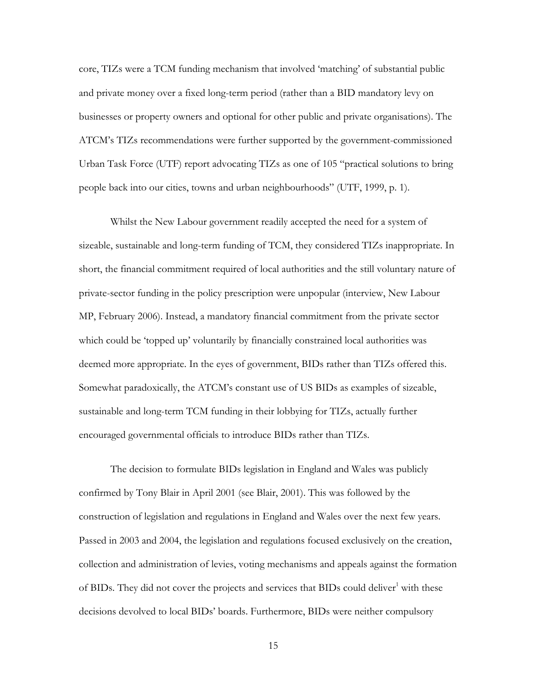core, TIZs were a TCM funding mechanism that involved 'matching' of substantial public and private money over a fixed long-term period (rather than a BID mandatory levy on businesses or property owners and optional for other public and private organisations). The ATCM's TIZs recommendations were further supported by the government-commissioned Urban Task Force (UTF) report advocating TIZs as one of 105 "practical solutions to bring people back into our cities, towns and urban neighbourhoods" (UTF, 1999, p. 1).

Whilst the New Labour government readily accepted the need for a system of sizeable, sustainable and long-term funding of TCM, they considered TIZs inappropriate. In short, the financial commitment required of local authorities and the still voluntary nature of private-sector funding in the policy prescription were unpopular (interview, New Labour MP, February 2006). Instead, a mandatory financial commitment from the private sector which could be 'topped up' voluntarily by financially constrained local authorities was deemed more appropriate. In the eyes of government, BIDs rather than TIZs offered this. Somewhat paradoxically, the ATCM's constant use of US BIDs as examples of sizeable, sustainable and long-term TCM funding in their lobbying for TIZs, actually further encouraged governmental officials to introduce BIDs rather than TIZs.

The decision to formulate BIDs legislation in England and Wales was publicly confirmed by Tony Blair in April 2001 (see Blair, 2001). This was followed by the construction of legislation and regulations in England and Wales over the next few years. Passed in 2003 and 2004, the legislation and regulations focused exclusively on the creation, collection and administration of levies, voting mechanisms and appeals against the formation of BIDs. They did not cover the projects and services that BIDs could deliver<sup>1</sup> with these decisions devolved to local BIDs' boards. Furthermore, BIDs were neither compulsory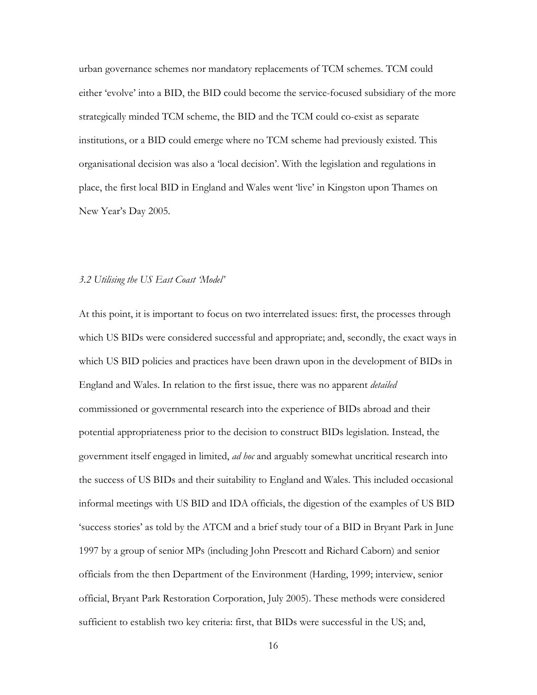urban governance schemes nor mandatory replacements of TCM schemes. TCM could either 'evolve' into a BID, the BID could become the service-focused subsidiary of the more strategically minded TCM scheme, the BID and the TCM could co-exist as separate institutions, or a BID could emerge where no TCM scheme had previously existed. This organisational decision was also a 'local decision'. With the legislation and regulations in place, the first local BID in England and Wales went 'live' in Kingston upon Thames on New Year's Day 2005.

### *3.2 Utilising the US East Coast 'Model'*

At this point, it is important to focus on two interrelated issues: first, the processes through which US BIDs were considered successful and appropriate; and, secondly, the exact ways in which US BID policies and practices have been drawn upon in the development of BIDs in England and Wales. In relation to the first issue, there was no apparent *detailed* commissioned or governmental research into the experience of BIDs abroad and their potential appropriateness prior to the decision to construct BIDs legislation. Instead, the government itself engaged in limited, *ad hoc* and arguably somewhat uncritical research into the success of US BIDs and their suitability to England and Wales. This included occasional informal meetings with US BID and IDA officials, the digestion of the examples of US BID 'success stories' as told by the ATCM and a brief study tour of a BID in Bryant Park in June 1997 by a group of senior MPs (including John Prescott and Richard Caborn) and senior officials from the then Department of the Environment (Harding, 1999; interview, senior official, Bryant Park Restoration Corporation, July 2005). These methods were considered sufficient to establish two key criteria: first, that BIDs were successful in the US; and,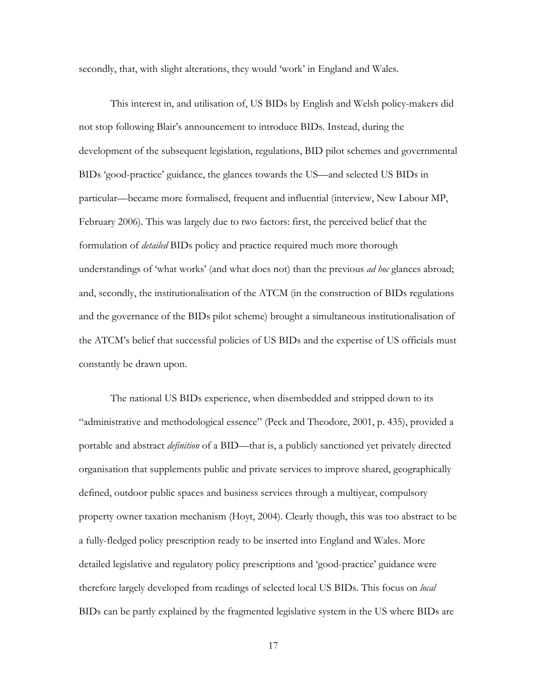secondly, that, with slight alterations, they would 'work' in England and Wales.

This interest in, and utilisation of, US BIDs by English and Welsh policy-makers did not stop following Blair's announcement to introduce BIDs. Instead, during the development of the subsequent legislation, regulations, BID pilot schemes and governmental BIDs 'good-practice' guidance, the glances towards the US—and selected US BIDs in particular—became more formalised, frequent and influential (interview, New Labour MP, February 2006). This was largely due to two factors: first, the perceived belief that the formulation of *detailed* BIDs policy and practice required much more thorough understandings of 'what works' (and what does not) than the previous *ad hoc* glances abroad; and, secondly, the institutionalisation of the ATCM (in the construction of BIDs regulations and the governance of the BIDs pilot scheme) brought a simultaneous institutionalisation of the ATCM's belief that successful policies of US BIDs and the expertise of US officials must constantly be drawn upon.

The national US BIDs experience, when disembedded and stripped down to its "administrative and methodological essence" (Peck and Theodore, 2001, p. 435), provided a portable and abstract *definition* of a BID—that is, a publicly sanctioned yet privately directed organisation that supplements public and private services to improve shared, geographically defined, outdoor public spaces and business services through a multiyear, compulsory property owner taxation mechanism (Hoyt, 2004). Clearly though, this was too abstract to be a fully-fledged policy prescription ready to be inserted into England and Wales. More detailed legislative and regulatory policy prescriptions and 'good-practice' guidance were therefore largely developed from readings of selected local US BIDs. This focus on *local*  BIDs can be partly explained by the fragmented legislative system in the US where BIDs are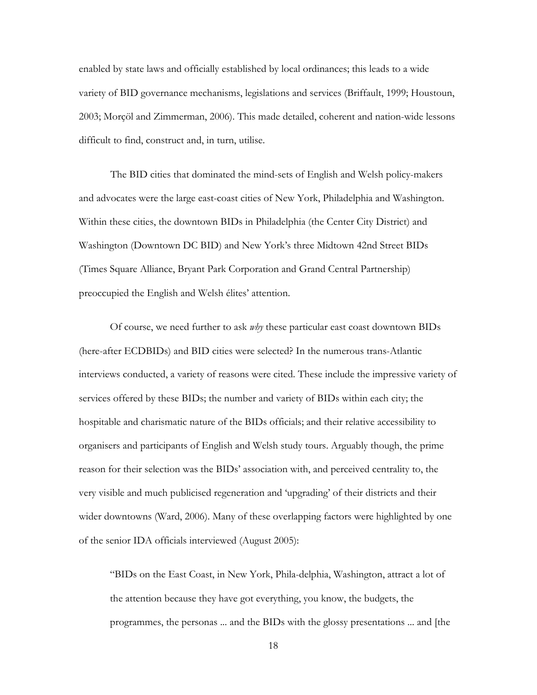enabled by state laws and officially established by local ordinances; this leads to a wide variety of BID governance mechanisms, legislations and services (Briffault, 1999; Houstoun, 2003; Morçöl and Zimmerman, 2006). This made detailed, coherent and nation-wide lessons difficult to find, construct and, in turn, utilise.

The BID cities that dominated the mind-sets of English and Welsh policy-makers and advocates were the large east-coast cities of New York, Philadelphia and Washington. Within these cities, the downtown BIDs in Philadelphia (the Center City District) and Washington (Downtown DC BID) and New York's three Midtown 42nd Street BIDs (Times Square Alliance, Bryant Park Corporation and Grand Central Partnership) preoccupied the English and Welsh élites' attention.

Of course, we need further to ask *why* these particular east coast downtown BIDs (here-after ECDBIDs) and BID cities were selected? In the numerous trans-Atlantic interviews conducted, a variety of reasons were cited. These include the impressive variety of services offered by these BIDs; the number and variety of BIDs within each city; the hospitable and charismatic nature of the BIDs officials; and their relative accessibility to organisers and participants of English and Welsh study tours. Arguably though, the prime reason for their selection was the BIDs' association with, and perceived centrality to, the very visible and much publicised regeneration and 'upgrading' of their districts and their wider downtowns (Ward, 2006). Many of these overlapping factors were highlighted by one of the senior IDA officials interviewed (August 2005):

"BIDs on the East Coast, in New York, Phila-delphia, Washington, attract a lot of the attention because they have got everything, you know, the budgets, the programmes, the personas ... and the BIDs with the glossy presentations ... and [the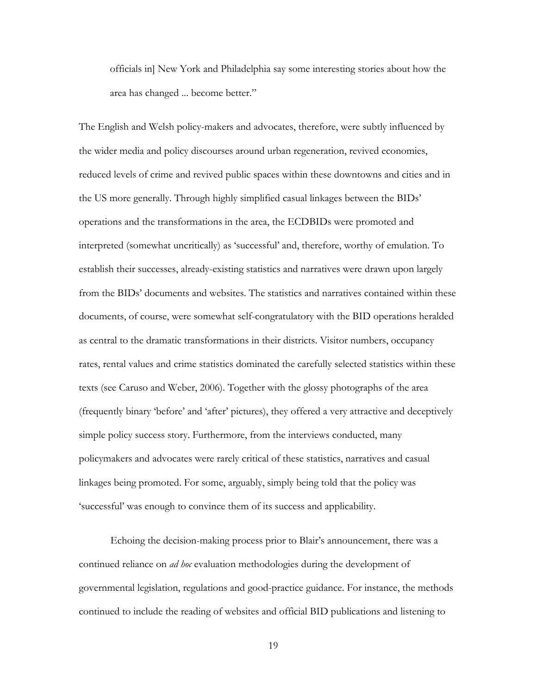officials in] New York and Philadelphia say some interesting stories about how the area has changed ... become better."

The English and Welsh policy-makers and advocates, therefore, were subtly influenced by the wider media and policy discourses around urban regeneration, revived economies, reduced levels of crime and revived public spaces within these downtowns and cities and in the US more generally. Through highly simplified casual linkages between the BIDs' operations and the transformations in the area, the ECDBIDs were promoted and interpreted (somewhat uncritically) as 'successful' and, therefore, worthy of emulation. To establish their successes, already-existing statistics and narratives were drawn upon largely from the BIDs' documents and websites. The statistics and narratives contained within these documents, of course, were somewhat self-congratulatory with the BID operations heralded as central to the dramatic transformations in their districts. Visitor numbers, occupancy rates, rental values and crime statistics dominated the carefully selected statistics within these texts (see Caruso and Weber, 2006). Together with the glossy photographs of the area (frequently binary 'before' and 'after' pictures), they offered a very attractive and deceptively simple policy success story. Furthermore, from the interviews conducted, many policymakers and advocates were rarely critical of these statistics, narratives and casual linkages being promoted. For some, arguably, simply being told that the policy was 'successful' was enough to convince them of its success and applicability.

Echoing the decision-making process prior to Blair's announcement, there was a continued reliance on *ad hoc* evaluation methodologies during the development of governmental legislation, regulations and good-practice guidance. For instance, the methods continued to include the reading of websites and official BID publications and listening to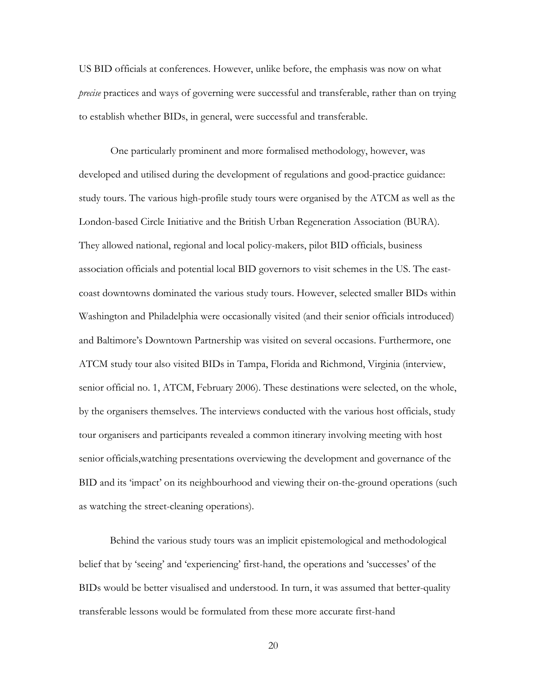US BID officials at conferences. However, unlike before, the emphasis was now on what *precise* practices and ways of governing were successful and transferable, rather than on trying to establish whether BIDs, in general, were successful and transferable.

One particularly prominent and more formalised methodology, however, was developed and utilised during the development of regulations and good-practice guidance: study tours. The various high-profile study tours were organised by the ATCM as well as the London-based Circle Initiative and the British Urban Regeneration Association (BURA). They allowed national, regional and local policy-makers, pilot BID officials, business association officials and potential local BID governors to visit schemes in the US. The eastcoast downtowns dominated the various study tours. However, selected smaller BIDs within Washington and Philadelphia were occasionally visited (and their senior officials introduced) and Baltimore's Downtown Partnership was visited on several occasions. Furthermore, one ATCM study tour also visited BIDs in Tampa, Florida and Richmond, Virginia (interview, senior official no. 1, ATCM, February 2006). These destinations were selected, on the whole, by the organisers themselves. The interviews conducted with the various host officials, study tour organisers and participants revealed a common itinerary involving meeting with host senior officials,watching presentations overviewing the development and governance of the BID and its 'impact' on its neighbourhood and viewing their on-the-ground operations (such as watching the street-cleaning operations).

Behind the various study tours was an implicit epistemological and methodological belief that by 'seeing' and 'experiencing' first-hand, the operations and 'successes' of the BIDs would be better visualised and understood. In turn, it was assumed that better-quality transferable lessons would be formulated from these more accurate first-hand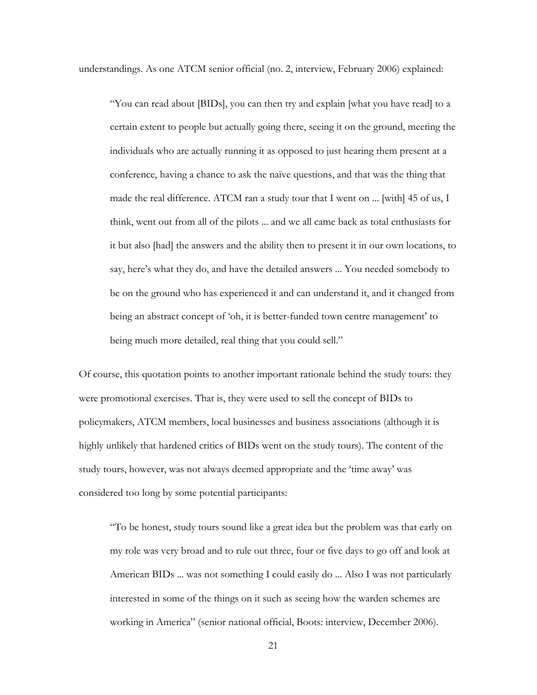understandings. As one ATCM senior official (no. 2, interview, February 2006) explained:

"You can read about [BIDs], you can then try and explain [what you have read] to a certain extent to people but actually going there, seeing it on the ground, meeting the individuals who are actually running it as opposed to just hearing them present at a conference, having a chance to ask the naïve questions, and that was the thing that made the real difference. ATCM ran a study tour that I went on ... [with] 45 of us, I think, went out from all of the pilots ... and we all came back as total enthusiasts for it but also [had] the answers and the ability then to present it in our own locations, to say, here's what they do, and have the detailed answers ... You needed somebody to be on the ground who has experienced it and can understand it, and it changed from being an abstract concept of 'oh, it is better-funded town centre management' to being much more detailed, real thing that you could sell."

Of course, this quotation points to another important rationale behind the study tours: they were promotional exercises. That is, they were used to sell the concept of BIDs to policymakers, ATCM members, local businesses and business associations (although it is highly unlikely that hardened critics of BIDs went on the study tours). The content of the study tours, however, was not always deemed appropriate and the 'time away' was considered too long by some potential participants:

"To be honest, study tours sound like a great idea but the problem was that early on my role was very broad and to rule out three, four or five days to go off and look at American BIDs ... was not something I could easily do ... Also I was not particularly interested in some of the things on it such as seeing how the warden schemes are working in America" (senior national official, Boots: interview, December 2006).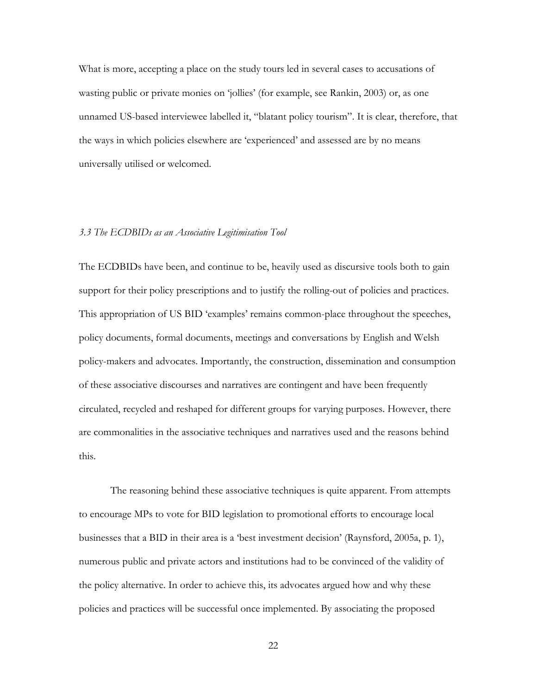What is more, accepting a place on the study tours led in several cases to accusations of wasting public or private monies on 'jollies' (for example, see Rankin, 2003) or, as one unnamed US-based interviewee labelled it, "blatant policy tourism". It is clear, therefore, that the ways in which policies elsewhere are 'experienced' and assessed are by no means universally utilised or welcomed.

### *3.3 The ECDBIDs as an Associative Legitimisation Tool*

The ECDBIDs have been, and continue to be, heavily used as discursive tools both to gain support for their policy prescriptions and to justify the rolling-out of policies and practices. This appropriation of US BID 'examples' remains common-place throughout the speeches, policy documents, formal documents, meetings and conversations by English and Welsh policy-makers and advocates. Importantly, the construction, dissemination and consumption of these associative discourses and narratives are contingent and have been frequently circulated, recycled and reshaped for different groups for varying purposes. However, there are commonalities in the associative techniques and narratives used and the reasons behind this.

The reasoning behind these associative techniques is quite apparent. From attempts to encourage MPs to vote for BID legislation to promotional efforts to encourage local businesses that a BID in their area is a 'best investment decision' (Raynsford, 2005a, p. 1), numerous public and private actors and institutions had to be convinced of the validity of the policy alternative. In order to achieve this, its advocates argued how and why these policies and practices will be successful once implemented. By associating the proposed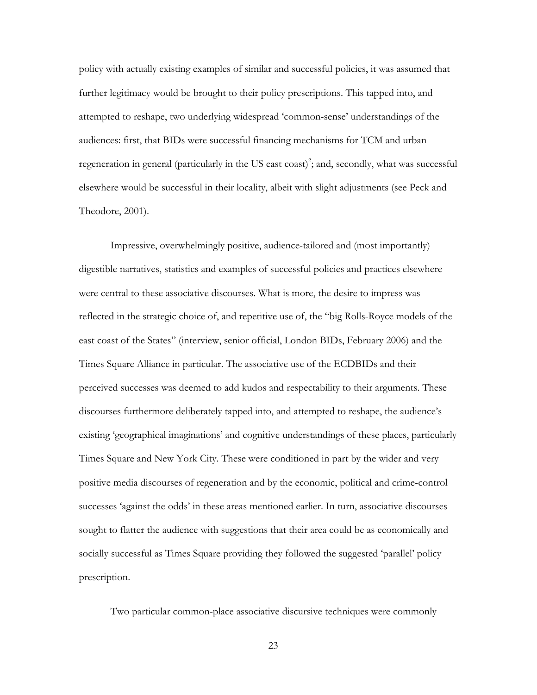policy with actually existing examples of similar and successful policies, it was assumed that further legitimacy would be brought to their policy prescriptions. This tapped into, and attempted to reshape, two underlying widespread 'common-sense' understandings of the audiences: first, that BIDs were successful financing mechanisms for TCM and urban regeneration in general (particularly in the US east coast)<sup>2</sup>; and, secondly, what was successful elsewhere would be successful in their locality, albeit with slight adjustments (see Peck and Theodore, 2001).

Impressive, overwhelmingly positive, audience-tailored and (most importantly) digestible narratives, statistics and examples of successful policies and practices elsewhere were central to these associative discourses. What is more, the desire to impress was reflected in the strategic choice of, and repetitive use of, the "big Rolls-Royce models of the east coast of the States" (interview, senior official, London BIDs, February 2006) and the Times Square Alliance in particular. The associative use of the ECDBIDs and their perceived successes was deemed to add kudos and respectability to their arguments. These discourses furthermore deliberately tapped into, and attempted to reshape, the audience's existing 'geographical imaginations' and cognitive understandings of these places, particularly Times Square and New York City. These were conditioned in part by the wider and very positive media discourses of regeneration and by the economic, political and crime-control successes 'against the odds' in these areas mentioned earlier. In turn, associative discourses sought to flatter the audience with suggestions that their area could be as economically and socially successful as Times Square providing they followed the suggested 'parallel' policy prescription.

Two particular common-place associative discursive techniques were commonly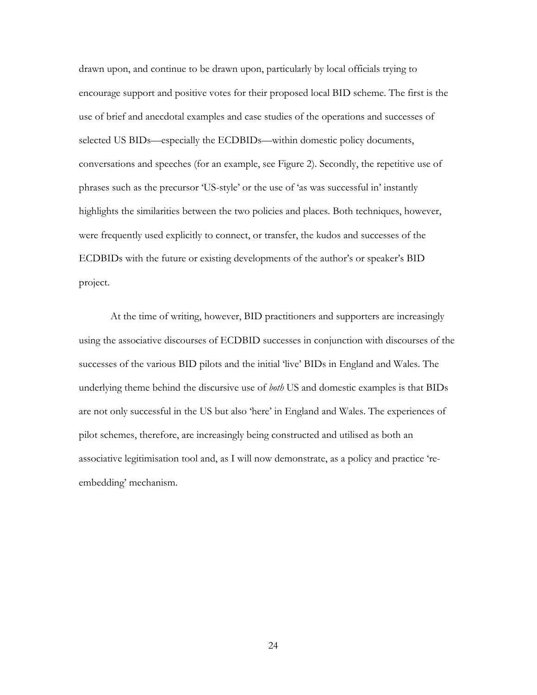drawn upon, and continue to be drawn upon, particularly by local officials trying to encourage support and positive votes for their proposed local BID scheme. The first is the use of brief and anecdotal examples and case studies of the operations and successes of selected US BIDs—especially the ECDBIDs—within domestic policy documents, conversations and speeches (for an example, see Figure 2). Secondly, the repetitive use of phrases such as the precursor 'US-style' or the use of 'as was successful in' instantly highlights the similarities between the two policies and places. Both techniques, however, were frequently used explicitly to connect, or transfer, the kudos and successes of the ECDBIDs with the future or existing developments of the author's or speaker's BID project.

At the time of writing, however, BID practitioners and supporters are increasingly using the associative discourses of ECDBID successes in conjunction with discourses of the successes of the various BID pilots and the initial 'live' BIDs in England and Wales. The underlying theme behind the discursive use of *both* US and domestic examples is that BIDs are not only successful in the US but also 'here' in England and Wales. The experiences of pilot schemes, therefore, are increasingly being constructed and utilised as both an associative legitimisation tool and, as I will now demonstrate, as a policy and practice 'reembedding' mechanism.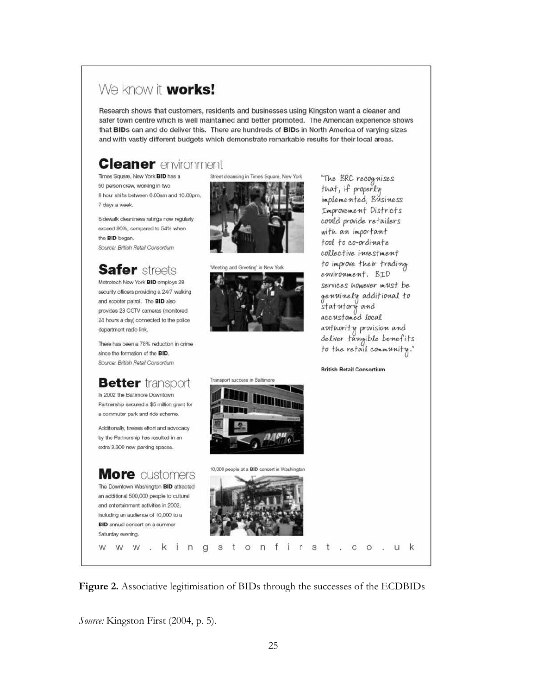### We know it works!

Research shows that customers, residents and businesses using Kingston want a cleaner and safer town centre which is well maintained and better promoted. The American experience shows that BIDs can and do deliver this. There are hundreds of BIDs in North America of varying sizes and with vastly different budgets which demonstrate remarkable results for their local areas.

### **Cleaner** environment

Times Square, New York BID has a 50 person crew, working in two 8 hour shifts between 6.00am and 10.00pm, 7 days a week.

Sidewalk cleanliness ratings now regularly exceed 90%, compared to 54% when the **BID** began.

Source: British Retail Consortium

### **Safer** streets

Metrotech New York **BID** employs 28 security officers providing a 24/7 walking and scooter patrol. The BID also provides 23 CCTV cameras (monitored 24 hours a day) connected to the police department radio link.

There has been a 78% reduction in crime since the formation of the BID. Source: British Retail Consortium



'Meeting and Greeting' in New York



"The BRC recognises that, if properly implemented, Business Improvement Districts could provide retailers with an important tool to co-ordinate collective investment to improve their trading environment. BID services however must be genuinely additional to statutory and accustomed local authority provision and deliver tangible benefits to the retail community."

#### **British Retail Consortium**



**Figure 2.** Associative legitimisation of BIDs through the successes of the ECDBIDs

*Source:* Kingston First (2004, p. 5).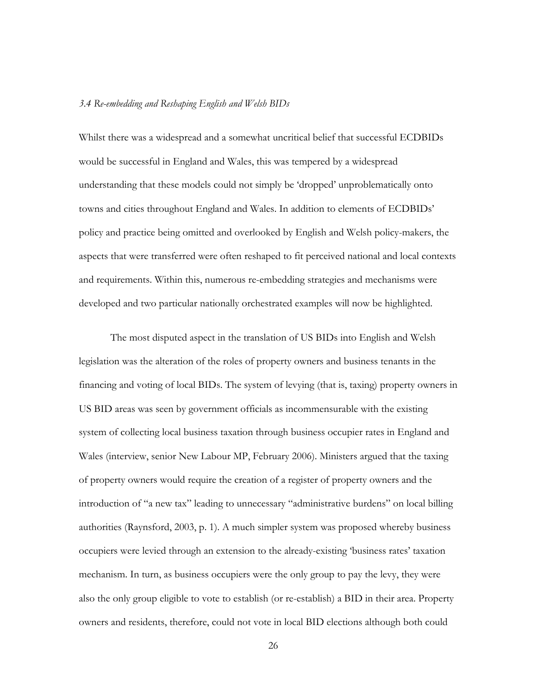### *3.4 Re-embedding and Reshaping English and Welsh BIDs*

Whilst there was a widespread and a somewhat uncritical belief that successful ECDBIDs would be successful in England and Wales, this was tempered by a widespread understanding that these models could not simply be 'dropped' unproblematically onto towns and cities throughout England and Wales. In addition to elements of ECDBIDs' policy and practice being omitted and overlooked by English and Welsh policy-makers, the aspects that were transferred were often reshaped to fit perceived national and local contexts and requirements. Within this, numerous re-embedding strategies and mechanisms were developed and two particular nationally orchestrated examples will now be highlighted.

The most disputed aspect in the translation of US BIDs into English and Welsh legislation was the alteration of the roles of property owners and business tenants in the financing and voting of local BIDs. The system of levying (that is, taxing) property owners in US BID areas was seen by government officials as incommensurable with the existing system of collecting local business taxation through business occupier rates in England and Wales (interview, senior New Labour MP, February 2006). Ministers argued that the taxing of property owners would require the creation of a register of property owners and the introduction of "a new tax" leading to unnecessary "administrative burdens" on local billing authorities (Raynsford, 2003, p. 1). A much simpler system was proposed whereby business occupiers were levied through an extension to the already-existing 'business rates' taxation mechanism. In turn, as business occupiers were the only group to pay the levy, they were also the only group eligible to vote to establish (or re-establish) a BID in their area. Property owners and residents, therefore, could not vote in local BID elections although both could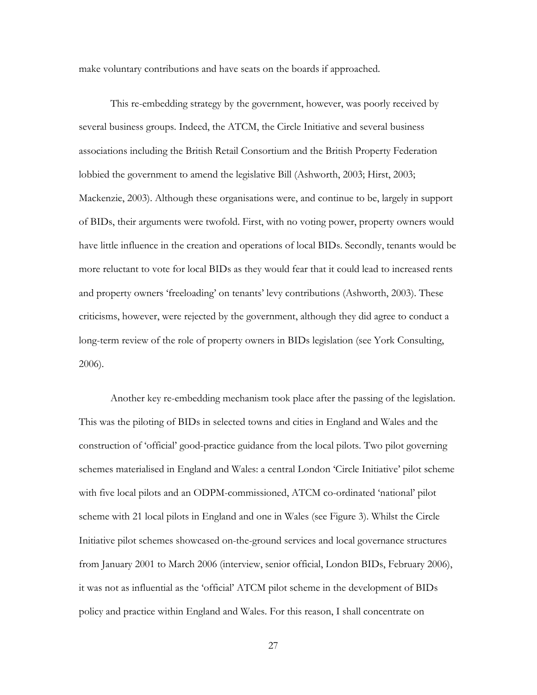make voluntary contributions and have seats on the boards if approached.

This re-embedding strategy by the government, however, was poorly received by several business groups. Indeed, the ATCM, the Circle Initiative and several business associations including the British Retail Consortium and the British Property Federation lobbied the government to amend the legislative Bill (Ashworth, 2003; Hirst, 2003; Mackenzie, 2003). Although these organisations were, and continue to be, largely in support of BIDs, their arguments were twofold. First, with no voting power, property owners would have little influence in the creation and operations of local BIDs. Secondly, tenants would be more reluctant to vote for local BIDs as they would fear that it could lead to increased rents and property owners 'freeloading' on tenants' levy contributions (Ashworth, 2003). These criticisms, however, were rejected by the government, although they did agree to conduct a long-term review of the role of property owners in BIDs legislation (see York Consulting, 2006).

Another key re-embedding mechanism took place after the passing of the legislation. This was the piloting of BIDs in selected towns and cities in England and Wales and the construction of 'official' good-practice guidance from the local pilots. Two pilot governing schemes materialised in England and Wales: a central London 'Circle Initiative' pilot scheme with five local pilots and an ODPM-commissioned, ATCM co-ordinated 'national' pilot scheme with 21 local pilots in England and one in Wales (see Figure 3). Whilst the Circle Initiative pilot schemes showcased on-the-ground services and local governance structures from January 2001 to March 2006 (interview, senior official, London BIDs, February 2006), it was not as influential as the 'official' ATCM pilot scheme in the development of BIDs policy and practice within England and Wales. For this reason, I shall concentrate on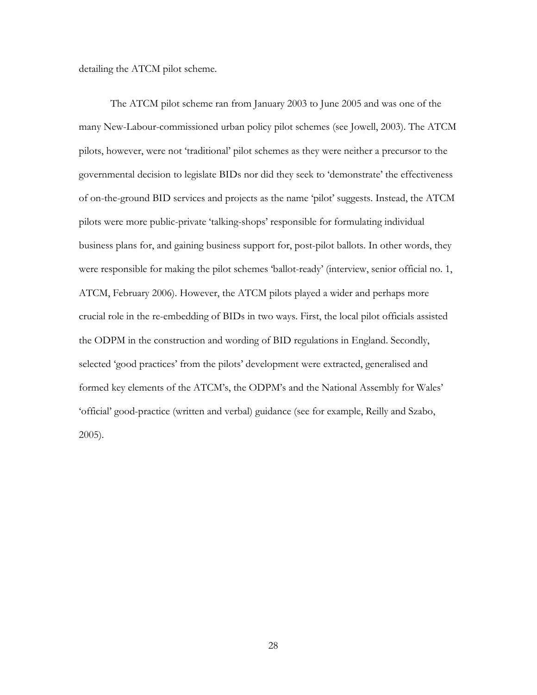detailing the ATCM pilot scheme.

The ATCM pilot scheme ran from January 2003 to June 2005 and was one of the many New-Labour-commissioned urban policy pilot schemes (see Jowell, 2003). The ATCM pilots, however, were not 'traditional' pilot schemes as they were neither a precursor to the governmental decision to legislate BIDs nor did they seek to 'demonstrate' the effectiveness of on-the-ground BID services and projects as the name 'pilot' suggests. Instead, the ATCM pilots were more public-private 'talking-shops' responsible for formulating individual business plans for, and gaining business support for, post-pilot ballots. In other words, they were responsible for making the pilot schemes 'ballot-ready' (interview, senior official no. 1, ATCM, February 2006). However, the ATCM pilots played a wider and perhaps more crucial role in the re-embedding of BIDs in two ways. First, the local pilot officials assisted the ODPM in the construction and wording of BID regulations in England. Secondly, selected 'good practices' from the pilots' development were extracted, generalised and formed key elements of the ATCM's, the ODPM's and the National Assembly for Wales' 'official' good-practice (written and verbal) guidance (see for example, Reilly and Szabo, 2005).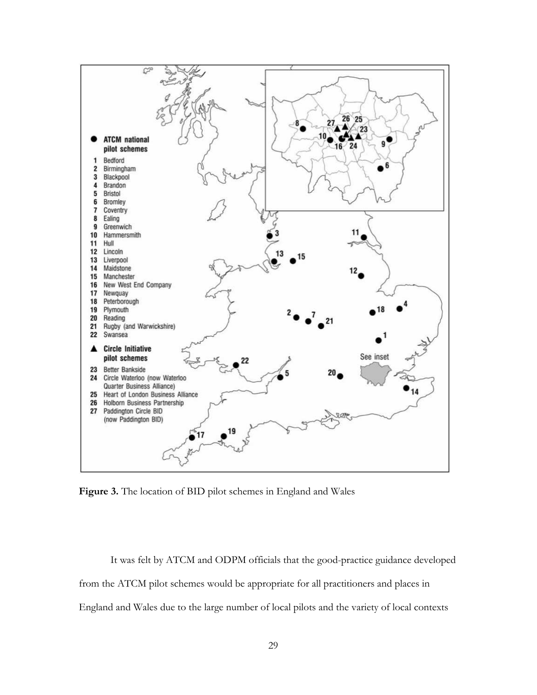

**Figure 3.** The location of BID pilot schemes in England and Wales

It was felt by ATCM and ODPM officials that the good-practice guidance developed from the ATCM pilot schemes would be appropriate for all practitioners and places in England and Wales due to the large number of local pilots and the variety of local contexts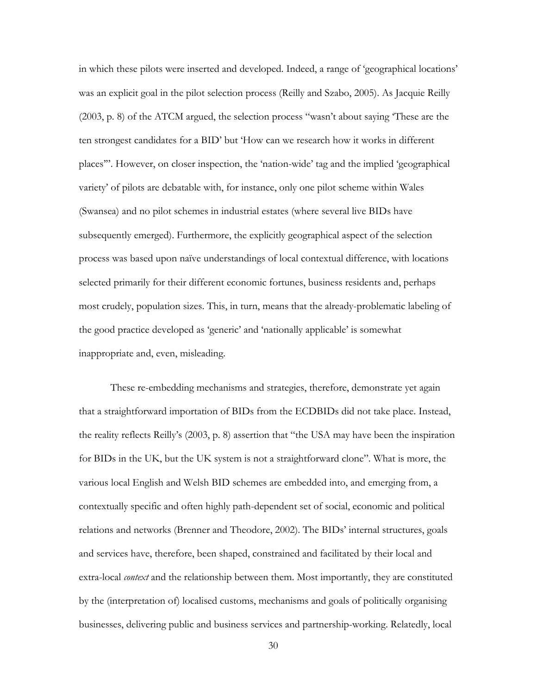in which these pilots were inserted and developed. Indeed, a range of 'geographical locations' was an explicit goal in the pilot selection process (Reilly and Szabo, 2005). As Jacquie Reilly (2003, p. 8) of the ATCM argued, the selection process "wasn't about saying 'These are the ten strongest candidates for a BID' but 'How can we research how it works in different places'". However, on closer inspection, the 'nation-wide' tag and the implied 'geographical variety' of pilots are debatable with, for instance, only one pilot scheme within Wales (Swansea) and no pilot schemes in industrial estates (where several live BIDs have subsequently emerged). Furthermore, the explicitly geographical aspect of the selection process was based upon naïve understandings of local contextual difference, with locations selected primarily for their different economic fortunes, business residents and, perhaps most crudely, population sizes. This, in turn, means that the already-problematic labeling of the good practice developed as 'generic' and 'nationally applicable' is somewhat inappropriate and, even, misleading.

These re-embedding mechanisms and strategies, therefore, demonstrate yet again that a straightforward importation of BIDs from the ECDBIDs did not take place. Instead, the reality reflects Reilly's (2003, p. 8) assertion that "the USA may have been the inspiration for BIDs in the UK, but the UK system is not a straightforward clone". What is more, the various local English and Welsh BID schemes are embedded into, and emerging from, a contextually specific and often highly path-dependent set of social, economic and political relations and networks (Brenner and Theodore, 2002). The BIDs' internal structures, goals and services have, therefore, been shaped, constrained and facilitated by their local and extra-local *context* and the relationship between them. Most importantly, they are constituted by the (interpretation of) localised customs, mechanisms and goals of politically organising businesses, delivering public and business services and partnership-working. Relatedly, local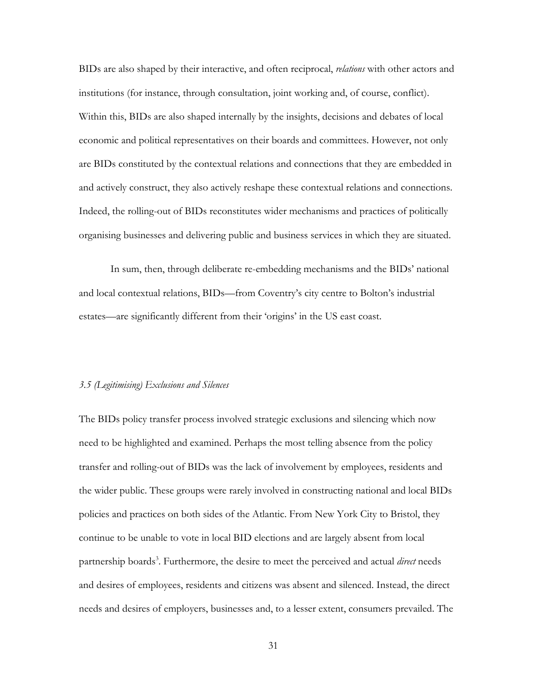BIDs are also shaped by their interactive, and often reciprocal, *relations* with other actors and institutions (for instance, through consultation, joint working and, of course, conflict). Within this, BIDs are also shaped internally by the insights, decisions and debates of local economic and political representatives on their boards and committees. However, not only are BIDs constituted by the contextual relations and connections that they are embedded in and actively construct, they also actively reshape these contextual relations and connections. Indeed, the rolling-out of BIDs reconstitutes wider mechanisms and practices of politically organising businesses and delivering public and business services in which they are situated.

In sum, then, through deliberate re-embedding mechanisms and the BIDs' national and local contextual relations, BIDs—from Coventry's city centre to Bolton's industrial estates—are significantly different from their 'origins' in the US east coast.

### *3.5 (Legitimising) Exclusions and Silences*

The BIDs policy transfer process involved strategic exclusions and silencing which now need to be highlighted and examined. Perhaps the most telling absence from the policy transfer and rolling-out of BIDs was the lack of involvement by employees, residents and the wider public. These groups were rarely involved in constructing national and local BIDs policies and practices on both sides of the Atlantic. From New York City to Bristol, they continue to be unable to vote in local BID elections and are largely absent from local partnership boards<sup>3</sup>. Furthermore, the desire to meet the perceived and actual *direct* needs and desires of employees, residents and citizens was absent and silenced. Instead, the direct needs and desires of employers, businesses and, to a lesser extent, consumers prevailed. The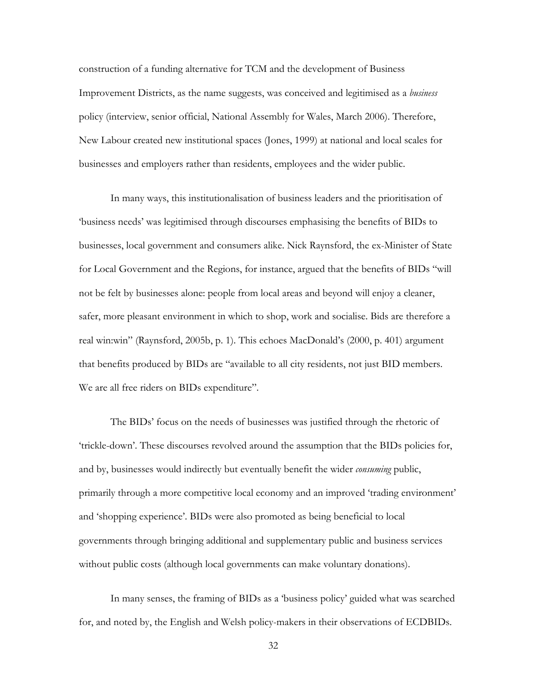construction of a funding alternative for TCM and the development of Business Improvement Districts, as the name suggests, was conceived and legitimised as a *business*  policy (interview, senior official, National Assembly for Wales, March 2006). Therefore, New Labour created new institutional spaces (Jones, 1999) at national and local scales for businesses and employers rather than residents, employees and the wider public.

In many ways, this institutionalisation of business leaders and the prioritisation of 'business needs' was legitimised through discourses emphasising the benefits of BIDs to businesses, local government and consumers alike. Nick Raynsford, the ex-Minister of State for Local Government and the Regions, for instance, argued that the benefits of BIDs "will not be felt by businesses alone: people from local areas and beyond will enjoy a cleaner, safer, more pleasant environment in which to shop, work and socialise. Bids are therefore a real win:win" (Raynsford, 2005b, p. 1). This echoes MacDonald's (2000, p. 401) argument that benefits produced by BIDs are "available to all city residents, not just BID members. We are all free riders on BIDs expenditure".

The BIDs' focus on the needs of businesses was justified through the rhetoric of 'trickle-down'. These discourses revolved around the assumption that the BIDs policies for, and by, businesses would indirectly but eventually benefit the wider *consuming* public, primarily through a more competitive local economy and an improved 'trading environment' and 'shopping experience'. BIDs were also promoted as being beneficial to local governments through bringing additional and supplementary public and business services without public costs (although local governments can make voluntary donations).

In many senses, the framing of BIDs as a 'business policy' guided what was searched for, and noted by, the English and Welsh policy-makers in their observations of ECDBIDs.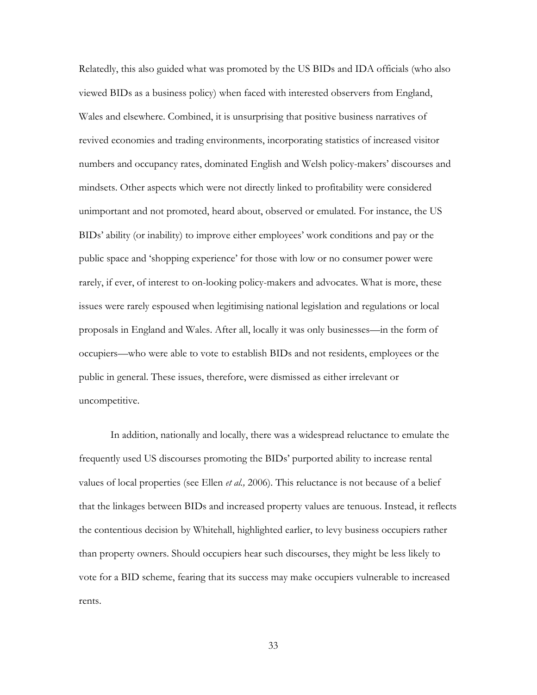Relatedly, this also guided what was promoted by the US BIDs and IDA officials (who also viewed BIDs as a business policy) when faced with interested observers from England, Wales and elsewhere. Combined, it is unsurprising that positive business narratives of revived economies and trading environments, incorporating statistics of increased visitor numbers and occupancy rates, dominated English and Welsh policy-makers' discourses and mindsets. Other aspects which were not directly linked to profitability were considered unimportant and not promoted, heard about, observed or emulated. For instance, the US BIDs' ability (or inability) to improve either employees' work conditions and pay or the public space and 'shopping experience' for those with low or no consumer power were rarely, if ever, of interest to on-looking policy-makers and advocates. What is more, these issues were rarely espoused when legitimising national legislation and regulations or local proposals in England and Wales. After all, locally it was only businesses—in the form of occupiers—who were able to vote to establish BIDs and not residents, employees or the public in general. These issues, therefore, were dismissed as either irrelevant or uncompetitive.

In addition, nationally and locally, there was a widespread reluctance to emulate the frequently used US discourses promoting the BIDs' purported ability to increase rental values of local properties (see Ellen *et al.,* 2006). This reluctance is not because of a belief that the linkages between BIDs and increased property values are tenuous. Instead, it reflects the contentious decision by Whitehall, highlighted earlier, to levy business occupiers rather than property owners. Should occupiers hear such discourses, they might be less likely to vote for a BID scheme, fearing that its success may make occupiers vulnerable to increased rents.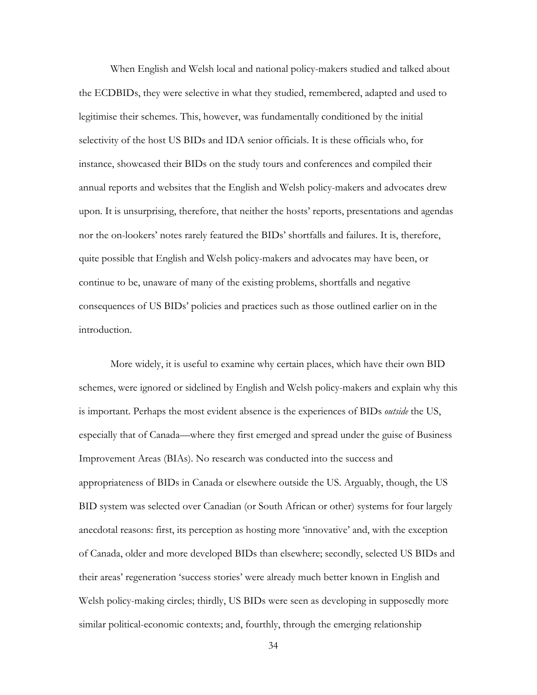When English and Welsh local and national policy-makers studied and talked about the ECDBIDs, they were selective in what they studied, remembered, adapted and used to legitimise their schemes. This, however, was fundamentally conditioned by the initial selectivity of the host US BIDs and IDA senior officials. It is these officials who, for instance, showcased their BIDs on the study tours and conferences and compiled their annual reports and websites that the English and Welsh policy-makers and advocates drew upon. It is unsurprising, therefore, that neither the hosts' reports, presentations and agendas nor the on-lookers' notes rarely featured the BIDs' shortfalls and failures. It is, therefore, quite possible that English and Welsh policy-makers and advocates may have been, or continue to be, unaware of many of the existing problems, shortfalls and negative consequences of US BIDs' policies and practices such as those outlined earlier on in the introduction.

More widely, it is useful to examine why certain places, which have their own BID schemes, were ignored or sidelined by English and Welsh policy-makers and explain why this is important. Perhaps the most evident absence is the experiences of BIDs *outside* the US, especially that of Canada—where they first emerged and spread under the guise of Business Improvement Areas (BIAs). No research was conducted into the success and appropriateness of BIDs in Canada or elsewhere outside the US. Arguably, though, the US BID system was selected over Canadian (or South African or other) systems for four largely anecdotal reasons: first, its perception as hosting more 'innovative' and, with the exception of Canada, older and more developed BIDs than elsewhere; secondly, selected US BIDs and their areas' regeneration 'success stories' were already much better known in English and Welsh policy-making circles; thirdly, US BIDs were seen as developing in supposedly more similar political-economic contexts; and, fourthly, through the emerging relationship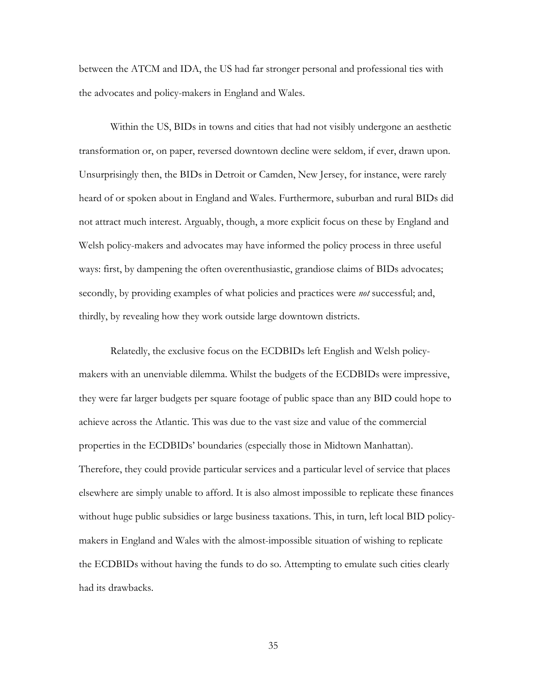between the ATCM and IDA, the US had far stronger personal and professional ties with the advocates and policy-makers in England and Wales.

Within the US, BIDs in towns and cities that had not visibly undergone an aesthetic transformation or, on paper, reversed downtown decline were seldom, if ever, drawn upon. Unsurprisingly then, the BIDs in Detroit or Camden, New Jersey, for instance, were rarely heard of or spoken about in England and Wales. Furthermore, suburban and rural BIDs did not attract much interest. Arguably, though, a more explicit focus on these by England and Welsh policy-makers and advocates may have informed the policy process in three useful ways: first, by dampening the often overenthusiastic, grandiose claims of BIDs advocates; secondly, by providing examples of what policies and practices were *not* successful; and, thirdly, by revealing how they work outside large downtown districts.

Relatedly, the exclusive focus on the ECDBIDs left English and Welsh policymakers with an unenviable dilemma. Whilst the budgets of the ECDBIDs were impressive, they were far larger budgets per square footage of public space than any BID could hope to achieve across the Atlantic. This was due to the vast size and value of the commercial properties in the ECDBIDs' boundaries (especially those in Midtown Manhattan). Therefore, they could provide particular services and a particular level of service that places elsewhere are simply unable to afford. It is also almost impossible to replicate these finances without huge public subsidies or large business taxations. This, in turn, left local BID policymakers in England and Wales with the almost-impossible situation of wishing to replicate the ECDBIDs without having the funds to do so. Attempting to emulate such cities clearly had its drawbacks.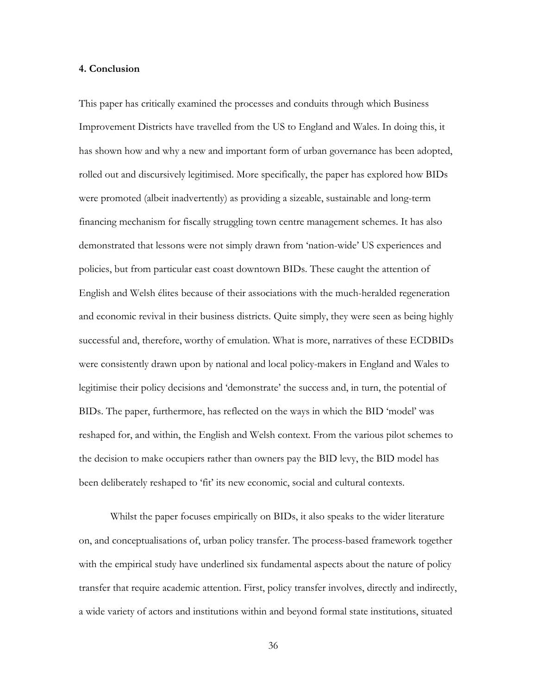### **4. Conclusion**

This paper has critically examined the processes and conduits through which Business Improvement Districts have travelled from the US to England and Wales. In doing this, it has shown how and why a new and important form of urban governance has been adopted, rolled out and discursively legitimised. More specifically, the paper has explored how BIDs were promoted (albeit inadvertently) as providing a sizeable, sustainable and long-term financing mechanism for fiscally struggling town centre management schemes. It has also demonstrated that lessons were not simply drawn from 'nation-wide' US experiences and policies, but from particular east coast downtown BIDs. These caught the attention of English and Welsh élites because of their associations with the much-heralded regeneration and economic revival in their business districts. Quite simply, they were seen as being highly successful and, therefore, worthy of emulation. What is more, narratives of these ECDBIDs were consistently drawn upon by national and local policy-makers in England and Wales to legitimise their policy decisions and 'demonstrate' the success and, in turn, the potential of BIDs. The paper, furthermore, has reflected on the ways in which the BID 'model' was reshaped for, and within, the English and Welsh context. From the various pilot schemes to the decision to make occupiers rather than owners pay the BID levy, the BID model has been deliberately reshaped to 'fit' its new economic, social and cultural contexts.

Whilst the paper focuses empirically on BIDs, it also speaks to the wider literature on, and conceptualisations of, urban policy transfer. The process-based framework together with the empirical study have underlined six fundamental aspects about the nature of policy transfer that require academic attention. First, policy transfer involves, directly and indirectly, a wide variety of actors and institutions within and beyond formal state institutions, situated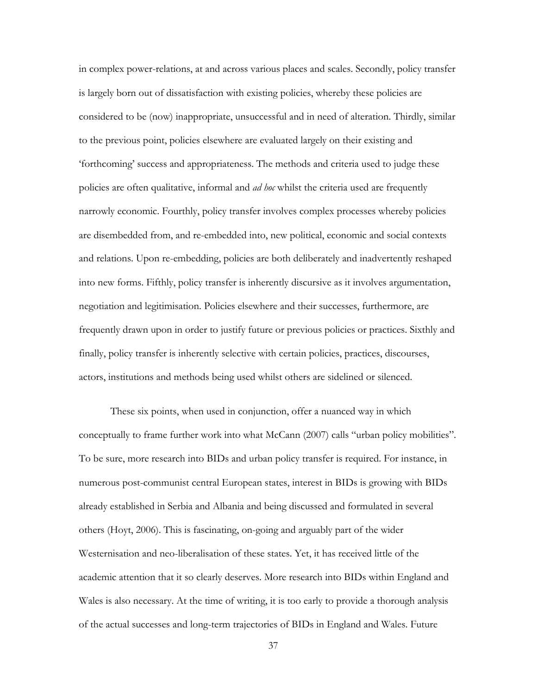in complex power-relations, at and across various places and scales. Secondly, policy transfer is largely born out of dissatisfaction with existing policies, whereby these policies are considered to be (now) inappropriate, unsuccessful and in need of alteration. Thirdly, similar to the previous point, policies elsewhere are evaluated largely on their existing and 'forthcoming' success and appropriateness. The methods and criteria used to judge these policies are often qualitative, informal and *ad hoc* whilst the criteria used are frequently narrowly economic. Fourthly, policy transfer involves complex processes whereby policies are disembedded from, and re-embedded into, new political, economic and social contexts and relations. Upon re-embedding, policies are both deliberately and inadvertently reshaped into new forms. Fifthly, policy transfer is inherently discursive as it involves argumentation, negotiation and legitimisation. Policies elsewhere and their successes, furthermore, are frequently drawn upon in order to justify future or previous policies or practices. Sixthly and finally, policy transfer is inherently selective with certain policies, practices, discourses, actors, institutions and methods being used whilst others are sidelined or silenced.

These six points, when used in conjunction, offer a nuanced way in which conceptually to frame further work into what McCann (2007) calls "urban policy mobilities". To be sure, more research into BIDs and urban policy transfer is required. For instance, in numerous post-communist central European states, interest in BIDs is growing with BIDs already established in Serbia and Albania and being discussed and formulated in several others (Hoyt, 2006). This is fascinating, on-going and arguably part of the wider Westernisation and neo-liberalisation of these states. Yet, it has received little of the academic attention that it so clearly deserves. More research into BIDs within England and Wales is also necessary. At the time of writing, it is too early to provide a thorough analysis of the actual successes and long-term trajectories of BIDs in England and Wales. Future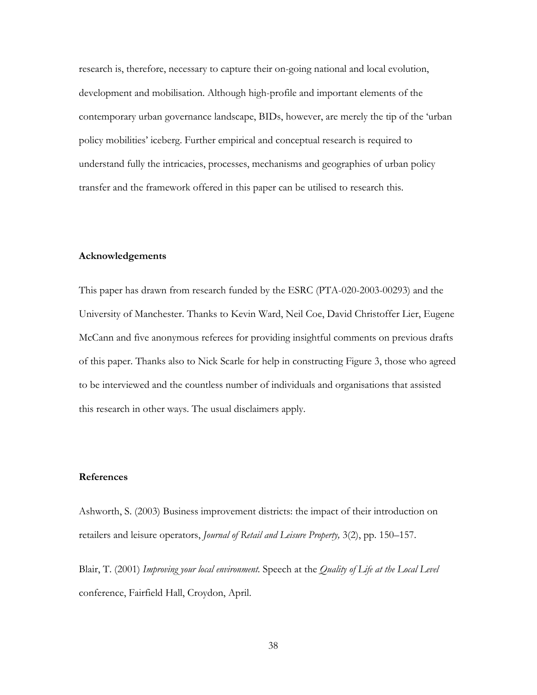research is, therefore, necessary to capture their on-going national and local evolution, development and mobilisation. Although high-profile and important elements of the contemporary urban governance landscape, BIDs, however, are merely the tip of the 'urban policy mobilities' iceberg. Further empirical and conceptual research is required to understand fully the intricacies, processes, mechanisms and geographies of urban policy transfer and the framework offered in this paper can be utilised to research this.

#### **Acknowledgements**

This paper has drawn from research funded by the ESRC (PTA-020-2003-00293) and the University of Manchester. Thanks to Kevin Ward, Neil Coe, David Christoffer Lier, Eugene McCann and five anonymous referees for providing insightful comments on previous drafts of this paper. Thanks also to Nick Scarle for help in constructing Figure 3, those who agreed to be interviewed and the countless number of individuals and organisations that assisted this research in other ways. The usual disclaimers apply.

### **References**

Ashworth, S. (2003) Business improvement districts: the impact of their introduction on retailers and leisure operators, *Journal of Retail and Leisure Property,* 3(2), pp. 150–157.

Blair, T. (2001) *Improving your local environment.* Speech at the *Quality of Life at the Local Level*  conference, Fairfield Hall, Croydon, April.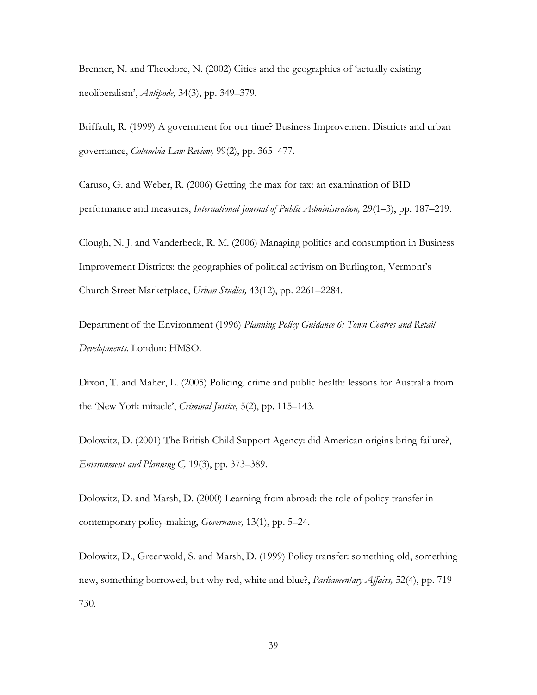Brenner, N. and Theodore, N. (2002) Cities and the geographies of 'actually existing neoliberalism', *Antipode,* 34(3), pp. 349–379.

Briffault, R. (1999) A government for our time? Business Improvement Districts and urban governance, *Columbia Law Review,* 99(2), pp. 365–477.

Caruso, G. and Weber, R. (2006) Getting the max for tax: an examination of BID performance and measures, *International Journal of Public Administration,* 29(1–3), pp. 187–219.

Clough, N. J. and Vanderbeck, R. M. (2006) Managing politics and consumption in Business Improvement Districts: the geographies of political activism on Burlington, Vermont's Church Street Marketplace, *Urban Studies,* 43(12), pp. 2261–2284.

Department of the Environment (1996) *Planning Policy Guidance 6: Town Centres and Retail Developments.* London: HMSO.

Dixon, T. and Maher, L. (2005) Policing, crime and public health: lessons for Australia from the 'New York miracle', *Criminal Justice,* 5(2), pp. 115–143.

Dolowitz, D. (2001) The British Child Support Agency: did American origins bring failure?, *Environment and Planning C,* 19(3), pp. 373–389.

Dolowitz, D. and Marsh, D. (2000) Learning from abroad: the role of policy transfer in contemporary policy-making, *Governance,* 13(1), pp. 5–24.

Dolowitz, D., Greenwold, S. and Marsh, D. (1999) Policy transfer: something old, something new, something borrowed, but why red, white and blue?, *Parliamentary Affairs,* 52(4), pp. 719– 730.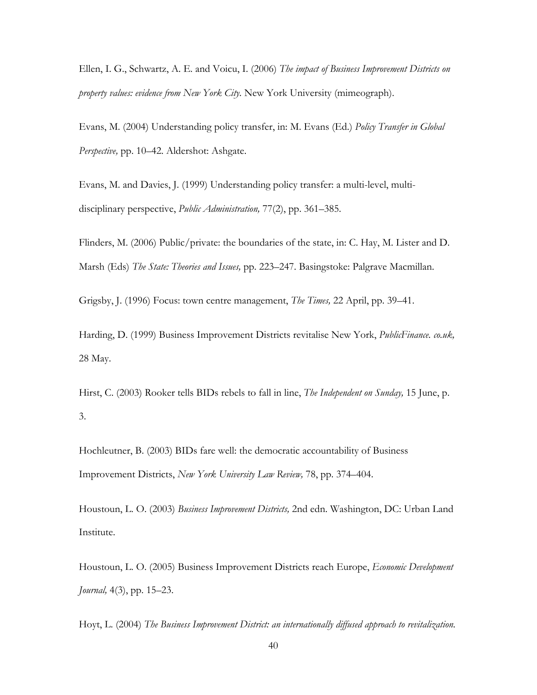Ellen, I. G., Schwartz, A. E. and Voicu, I. (2006) *The impact of Business Improvement Districts on property values: evidence from New York City.* New York University (mimeograph).

Evans, M. (2004) Understanding policy transfer, in: M. Evans (Ed.) *Policy Transfer in Global Perspective,* pp. 10–42. Aldershot: Ashgate.

Evans, M. and Davies, J. (1999) Understanding policy transfer: a multi-level, multidisciplinary perspective, *Public Administration,* 77(2), pp. 361–385.

Flinders, M. (2006) Public/private: the boundaries of the state, in: C. Hay, M. Lister and D. Marsh (Eds) *The State: Theories and Issues,* pp. 223–247. Basingstoke: Palgrave Macmillan.

Grigsby, J. (1996) Focus: town centre management, *The Times,* 22 April, pp. 39–41.

Harding, D. (1999) Business Improvement Districts revitalise New York, *PublicFinance. co.uk,*  28 May.

Hirst, C. (2003) Rooker tells BIDs rebels to fall in line, *The Independent on Sunday,* 15 June, p. 3.

Hochleutner, B. (2003) BIDs fare well: the democratic accountability of Business Improvement Districts, *New York University Law Review,* 78, pp. 374–404.

Houstoun, L. O. (2003) *Business Improvement Districts,* 2nd edn. Washington, DC: Urban Land Institute.

Houstoun, L. O. (2005) Business Improvement Districts reach Europe, *Economic Development Journal,* 4(3), pp. 15–23.

Hoyt, L. (2004) *The Business Improvement District: an internationally diffused approach to revitalization.*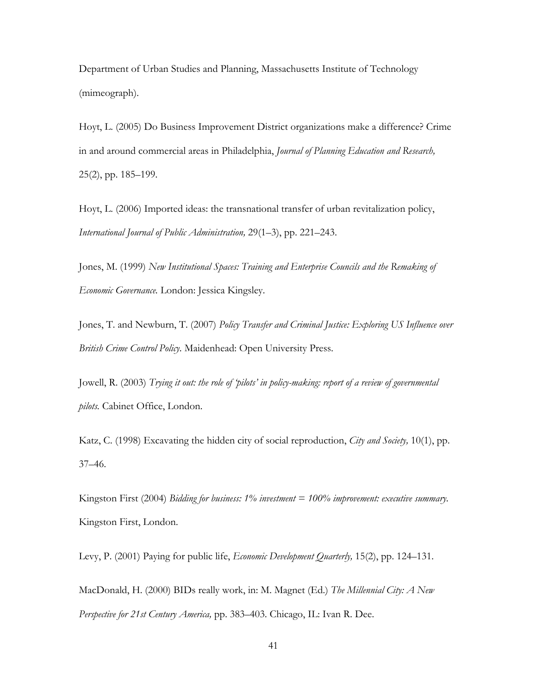Department of Urban Studies and Planning, Massachusetts Institute of Technology (mimeograph).

Hoyt, L. (2005) Do Business Improvement District organizations make a difference? Crime in and around commercial areas in Philadelphia, *Journal of Planning Education and Research,*  25(2), pp. 185–199.

Hoyt, L. (2006) Imported ideas: the transnational transfer of urban revitalization policy, *International Journal of Public Administration,* 29(1–3), pp. 221–243.

Jones, M. (1999) *New Institutional Spaces: Training and Enterprise Councils and the Remaking of Economic Governance.* London: Jessica Kingsley.

Jones, T. and Newburn, T. (2007) *Policy Transfer and Criminal Justice: Exploring US Influence over British Crime Control Policy.* Maidenhead: Open University Press.

Jowell, R. (2003) *Trying it out: the role of 'pilots' in policy-making: report of a review of governmental pilots.* Cabinet Office, London.

Katz, C. (1998) Excavating the hidden city of social reproduction, *City and Society,* 10(1), pp. 37–46.

Kingston First (2004) *Bidding for business: 1% investment = 100% improvement: executive summary.*  Kingston First, London.

Levy, P. (2001) Paying for public life, *Economic Development Quarterly,* 15(2), pp. 124–131.

MacDonald, H. (2000) BIDs really work, in: M. Magnet (Ed.) *The Millennial City: A New Perspective for 21st Century America,* pp. 383–403. Chicago, IL: Ivan R. Dee.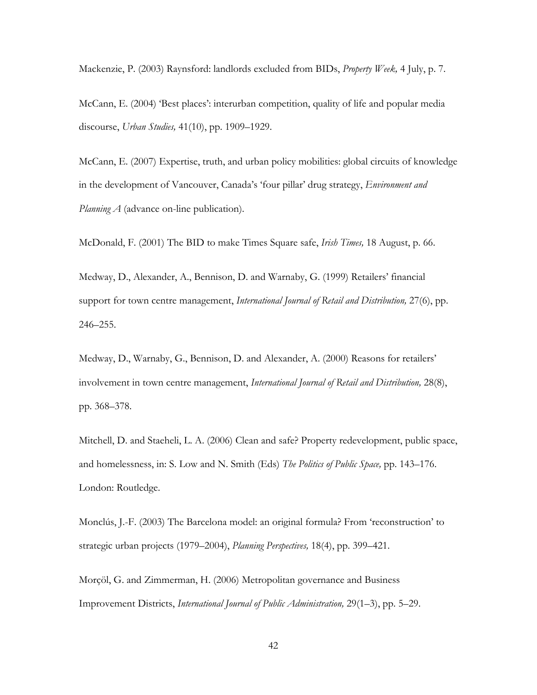Mackenzie, P. (2003) Raynsford: landlords excluded from BIDs, *Property Week,* 4 July, p. 7.

McCann, E. (2004) 'Best places': interurban competition, quality of life and popular media discourse, *Urban Studies,* 41(10), pp. 1909–1929.

McCann, E. (2007) Expertise, truth, and urban policy mobilities: global circuits of knowledge in the development of Vancouver, Canada's 'four pillar' drug strategy, *Environment and Planning A* (advance on-line publication).

McDonald, F. (2001) The BID to make Times Square safe, *Irish Times,* 18 August, p. 66.

Medway, D., Alexander, A., Bennison, D. and Warnaby, G. (1999) Retailers' financial support for town centre management, *International Journal of Retail and Distribution*, 27(6), pp. 246–255.

Medway, D., Warnaby, G., Bennison, D. and Alexander, A. (2000) Reasons for retailers' involvement in town centre management, *International Journal of Retail and Distribution,* 28(8), pp. 368–378.

Mitchell, D. and Staeheli, L. A. (2006) Clean and safe? Property redevelopment, public space, and homelessness, in: S. Low and N. Smith (Eds) *The Politics of Public Space,* pp. 143–176. London: Routledge.

Monclús, J.-F. (2003) The Barcelona model: an original formula? From 'reconstruction' to strategic urban projects (1979–2004), *Planning Perspectives,* 18(4), pp. 399–421.

Morçöl, G. and Zimmerman, H. (2006) Metropolitan governance and Business Improvement Districts, *International Journal of Public Administration,* 29(1–3), pp. 5–29.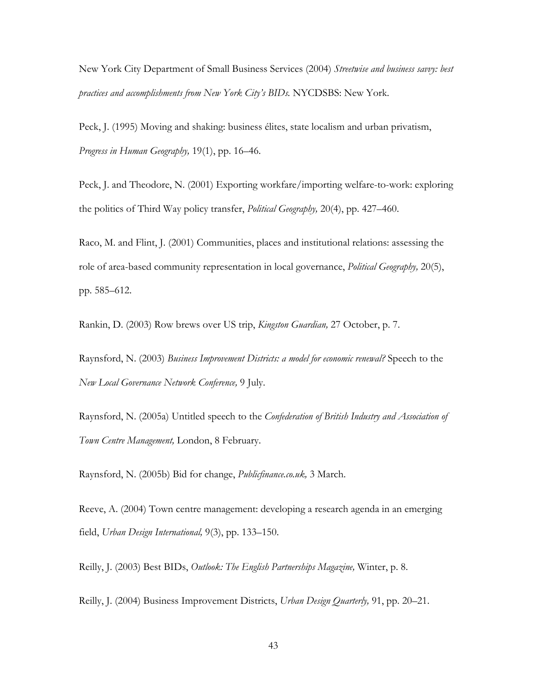New York City Department of Small Business Services (2004) *Streetwise and business savvy: best practices and accomplishments from New York City's BIDs.* NYCDSBS: New York.

Peck, J. (1995) Moving and shaking: business élites, state localism and urban privatism, *Progress in Human Geography,* 19(1), pp. 16–46.

Peck, J. and Theodore, N. (2001) Exporting workfare/importing welfare-to-work: exploring the politics of Third Way policy transfer, *Political Geography,* 20(4), pp. 427–460.

Raco, M. and Flint, J. (2001) Communities, places and institutional relations: assessing the role of area-based community representation in local governance, *Political Geography,* 20(5), pp. 585–612.

Rankin, D. (2003) Row brews over US trip, *Kingston Guardian,* 27 October, p. 7.

Raynsford, N. (2003) *Business Improvement Districts: a model for economic renewal?* Speech to the *New Local Governance Network Conference,* 9 July.

Raynsford, N. (2005a) Untitled speech to the *Confederation of British Industry and Association of Town Centre Management,* London, 8 February.

Raynsford, N. (2005b) Bid for change, *Publicfinance.co.uk,* 3 March.

Reeve, A. (2004) Town centre management: developing a research agenda in an emerging field, *Urban Design International,* 9(3), pp. 133–150.

Reilly, J. (2003) Best BIDs, *Outlook: The English Partnerships Magazine,* Winter, p. 8.

Reilly, J. (2004) Business Improvement Districts, *Urban Design Quarterly,* 91, pp. 20–21.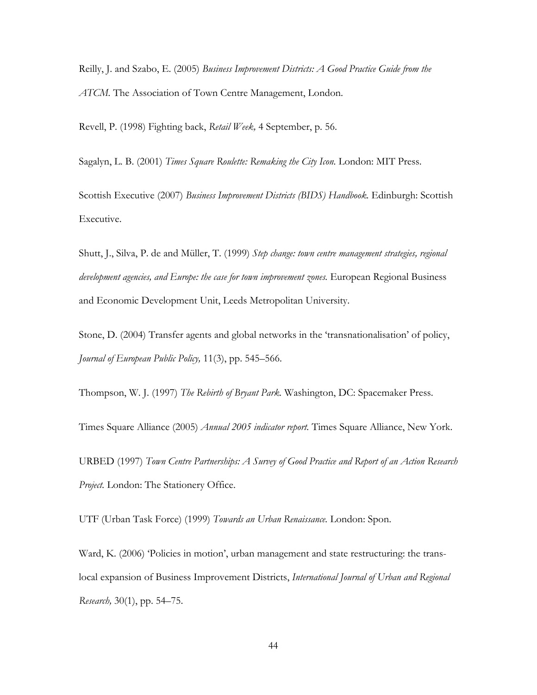Reilly, J. and Szabo, E. (2005) *Business Improvement Districts: A Good Practice Guide from the ATCM.* The Association of Town Centre Management, London.

Revell, P. (1998) Fighting back, *Retail Week,* 4 September, p. 56.

Sagalyn, L. B. (2001) *Times Square Roulette: Remaking the City Icon.* London: MIT Press.

Scottish Executive (2007) *Business Improvement Districts (BIDS) Handbook.* Edinburgh: Scottish Executive.

Shutt, J., Silva, P. de and Müller, T. (1999) *Step change: town centre management strategies, regional development agencies, and Europe: the case for town improvement zones. European Regional Business* and Economic Development Unit, Leeds Metropolitan University.

Stone, D. (2004) Transfer agents and global networks in the 'transnationalisation' of policy, *Journal of European Public Policy,* 11(3), pp. 545–566.

Thompson, W. J. (1997) *The Rebirth of Bryant Park.* Washington, DC: Spacemaker Press.

Times Square Alliance (2005) *Annual 2005 indicator report.* Times Square Alliance, New York.

URBED (1997) *Town Centre Partnerships: A Survey of Good Practice and Report of an Action Research Project.* London: The Stationery Office.

UTF (Urban Task Force) (1999) *Towards an Urban Renaissance.* London: Spon.

Ward, K. (2006) 'Policies in motion', urban management and state restructuring: the translocal expansion of Business Improvement Districts, *International Journal of Urban and Regional Research,* 30(1), pp. 54–75.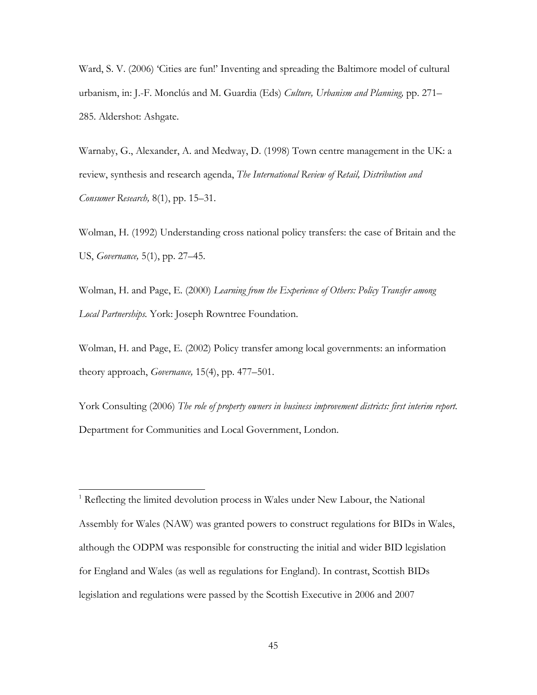Ward, S. V. (2006) 'Cities are fun!' Inventing and spreading the Baltimore model of cultural urbanism, in: J.-F. Monclús and M. Guardia (Eds) *Culture, Urbanism and Planning,* pp. 271– 285. Aldershot: Ashgate.

Warnaby, G., Alexander, A. and Medway, D. (1998) Town centre management in the UK: a review, synthesis and research agenda, *The International Review of Retail, Distribution and Consumer Research,* 8(1), pp. 15–31.

Wolman, H. (1992) Understanding cross national policy transfers: the case of Britain and the US, *Governance,* 5(1), pp. 27–45.

Wolman, H. and Page, E. (2000) *Learning from the Experience of Others: Policy Transfer among Local Partnerships.* York: Joseph Rowntree Foundation.

Wolman, H. and Page, E. (2002) Policy transfer among local governments: an information theory approach, *Governance,* 15(4), pp. 477–501.

York Consulting (2006) *The role of property owners in business improvement districts: first interim report.*  Department for Communities and Local Government, London.

<sup>1</sup> Reflecting the limited devolution process in Wales under New Labour, the National Assembly for Wales (NAW) was granted powers to construct regulations for BIDs in Wales, although the ODPM was responsible for constructing the initial and wider BID legislation for England and Wales (as well as regulations for England). In contrast, Scottish BIDs legislation and regulations were passed by the Scottish Executive in 2006 and 2007